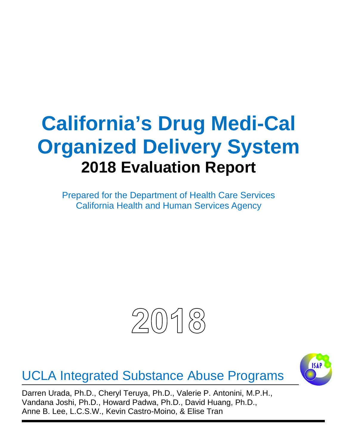# **California's Drug Medi-Cal Organized Delivery System 2018 Evaluation Report**

Prepared for the Department of Health Care Services California Health and Human Services Agency



UCLA Integrated Substance Abuse Programs



Darren Urada, Ph.D., Cheryl Teruya, Ph.D., Valerie P. Antonini, M.P.H., Vandana Joshi, Ph.D., Howard Padwa, Ph.D., David Huang, Ph.D., Anne B. Lee, L.C.S.W., Kevin Castro-Moino, & Elise Tran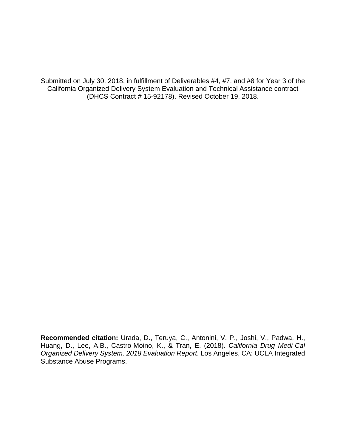Submitted on July 30, 2018, in fulfillment of Deliverables #4, #7, and #8 for Year 3 of the California Organized Delivery System Evaluation and Technical Assistance contract (DHCS Contract # 15-92178). Revised October 19, 2018.

**Recommended citation:** Urada, D., Teruya, C., Antonini, V. P., Joshi, V., Padwa, H., Huang, D., Lee, A.B., Castro-Moino, K., & Tran, E. (2018). *California Drug Medi-Cal Organized Delivery System, 2018 Evaluation Report*. Los Angeles, CA: UCLA Integrated Substance Abuse Programs.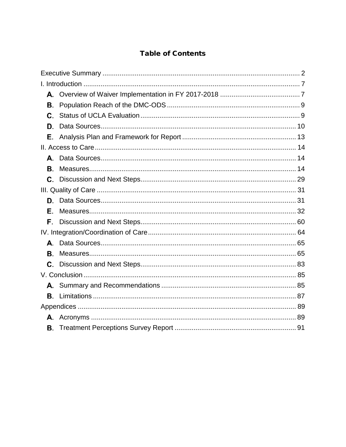# **Table of Contents**

| В. |  |  |
|----|--|--|
| C. |  |  |
| D. |  |  |
| Е. |  |  |
|    |  |  |
|    |  |  |
| В. |  |  |
| C. |  |  |
|    |  |  |
| D. |  |  |
| Е. |  |  |
| F. |  |  |
|    |  |  |
|    |  |  |
| В. |  |  |
| C. |  |  |
|    |  |  |
|    |  |  |
| В. |  |  |
|    |  |  |
|    |  |  |
| В. |  |  |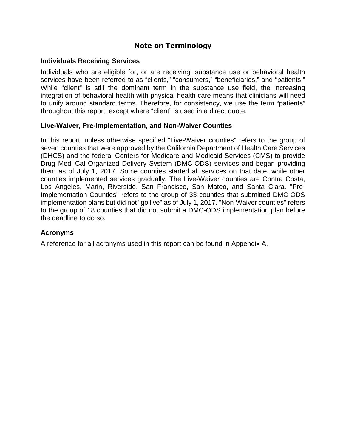# Note on Terminology

# **Individuals Receiving Services**

Individuals who are eligible for, or are receiving, substance use or behavioral health services have been referred to as "clients," "consumers," "beneficiaries," and "patients." While "client" is still the dominant term in the substance use field, the increasing integration of behavioral health with physical health care means that clinicians will need to unify around standard terms. Therefore, for consistency, we use the term "patients" throughout this report, except where "client" is used in a direct quote.

# **Live-Waiver, Pre-Implementation, and Non-Waiver Counties**

In this report, unless otherwise specified "Live-Waiver counties" refers to the group of seven counties that were approved by the California Department of Health Care Services (DHCS) and the federal Centers for Medicare and Medicaid Services (CMS) to provide Drug Medi-Cal Organized Delivery System (DMC-ODS) services and began providing them as of July 1, 2017. Some counties started all services on that date, while other counties implemented services gradually. The Live-Waiver counties are Contra Costa, Los Angeles, Marin, Riverside, San Francisco, San Mateo, and Santa Clara. "Pre-Implementation Counties" refers to the group of 33 counties that submitted DMC-ODS implementation plans but did not "go live" as of July 1, 2017. "Non-Waiver counties" refers to the group of 18 counties that did not submit a DMC-ODS implementation plan before the deadline to do so.

# **Acronyms**

A reference for all acronyms used in this report can be found in Appendix A.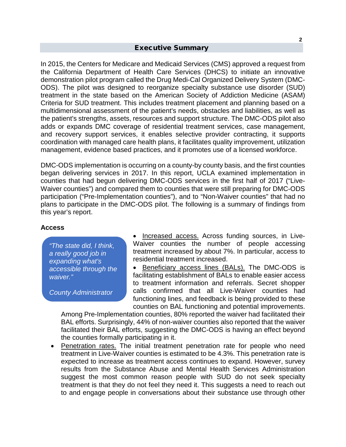## Executive Summary

<span id="page-4-0"></span>In 2015, the Centers for Medicare and Medicaid Services (CMS) approved a request from the California Department of Health Care Services (DHCS) to initiate an innovative demonstration pilot program called the Drug Medi-Cal Organized Delivery System (DMC-ODS). The pilot was designed to reorganize specialty substance use disorder (SUD) treatment in the state based on the American Society of Addiction Medicine (ASAM) Criteria for SUD treatment. This includes treatment placement and planning based on a multidimensional assessment of the patient's needs, obstacles and liabilities, as well as the patient's strengths, assets, resources and support structure. The DMC-ODS pilot also adds or expands DMC coverage of residential treatment services, case management, and recovery support services, it enables selective provider contracting, it supports coordination with managed care health plans, it facilitates quality improvement, utilization management, evidence based practices, and it promotes use of a licensed workforce.

DMC-ODS implementation is occurring on a county-by county basis, and the first counties began delivering services in 2017. In this report, UCLA examined implementation in counties that had begun delivering DMC-ODS services in the first half of 2017 ("Live-Waiver counties") and compared them to counties that were still preparing for DMC-ODS participation ("Pre-Implementation counties"), and to "Non-Waiver counties" that had no plans to participate in the DMC-ODS pilot. The following is a summary of findings from this year's report.

## **Access**

*"The state did, I think, a really good job in expanding what's accessible through the waiver."*

*County Administrator*

• Increased access. Across funding sources, in Live-Waiver counties the number of people accessing treatment increased by about 7%. In particular, access to residential treatment increased.

• Beneficiary access lines (BALs). The DMC-ODS is facilitating establishment of BALs to enable easier access to treatment information and referrals. Secret shopper calls confirmed that all Live-Waiver counties had functioning lines, and feedback is being provided to these counties on BAL functioning and potential improvements.

Among Pre-Implementation counties, 80% reported the waiver had facilitated their BAL efforts. Surprisingly, 44% of non-waiver counties also reported that the waiver facilitated their BAL efforts, suggesting the DMC-ODS is having an effect beyond the counties formally participating in it.

• Penetration rates. The initial treatment penetration rate for people who need treatment in Live-Waiver counties is estimated to be 4.3%. This penetration rate is expected to increase as treatment access continues to expand. However, survey results from the Substance Abuse and Mental Health Services Administration suggest the most common reason people with SUD do not seek specialty treatment is that they do not feel they need it. This suggests a need to reach out to and engage people in conversations about their substance use through other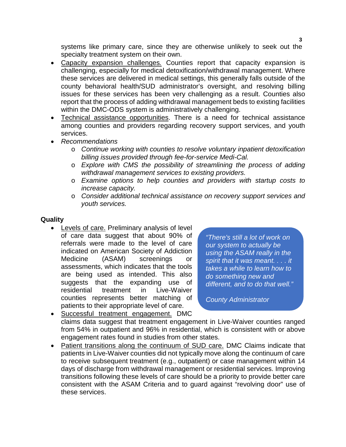systems like primary care, since they are otherwise unlikely to seek out the specialty treatment system on their own.

- Capacity expansion challenges*.* Counties report that capacity expansion is challenging, especially for medical detoxification/withdrawal management. Where these services are delivered in medical settings, this generally falls outside of the county behavioral health/SUD administrator's oversight, and resolving billing issues for these services has been very challenging as a result. Counties also report that the process of adding withdrawal management beds to existing facilities within the DMC-ODS system is administratively challenging.
- Technical assistance opportunities. There is a need for technical assistance among counties and providers regarding recovery support services, and youth services.
- *Recommendations*
	- o *Continue working with counties to resolve voluntary inpatient detoxification billing issues provided through fee-for-service Medi-Cal.*
	- o *Explore with CMS the possibility of streamlining the process of adding withdrawal management services to existing providers.*
	- o *Examine options to help counties and providers with startup costs to increase capacity.*
	- o *Consider additional technical assistance on recovery support services and youth services.*

# **Quality**

• Levels of care. Preliminary analysis of level of care data suggest that about 90% of referrals were made to the level of care indicated on American Society of Addiction Medicine (ASAM) screenings or assessments, which indicates that the tools are being used as intended. This also suggests that the expanding use of residential treatment in Live-Waiver counties represents better matching of patients to their appropriate level of care.

*"There's still a lot of work on our system to actually be using the ASAM really in the spirit that it was meant. . . . it takes a while to learn how to do something new and different, and to do that well."*

*County Administrator*

• Successful treatment engagement. DMC claims data suggest that treatment engagement in Live-Waiver counties ranged from 54% in outpatient and 96% in residential, which is consistent with or above engagement rates found in studies from other states.

• Patient transitions along the continuum of SUD care. DMC Claims indicate that patients in Live-Waiver counties did not typically move along the continuum of care to receive subsequent treatment (e.g., outpatient) or case management within 14 days of discharge from withdrawal management or residential services. Improving transitions following these levels of care should be a priority to provide better care consistent with the ASAM Criteria and to guard against "revolving door" use of these services.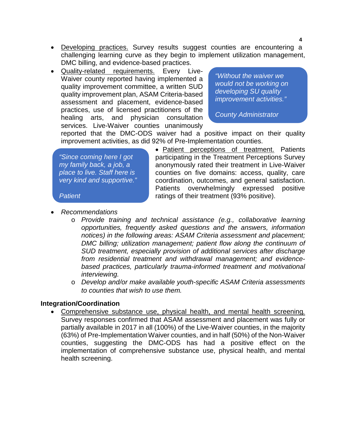- Developing practices. Survey results suggest counties are encountering a challenging learning curve as they begin to implement utilization management, DMC billing, and evidence-based practices.
- Quality-related requirements. Every Live-Waiver county reported having implemented a quality improvement committee, a written SUD quality improvement plan, ASAM Criteria-based assessment and placement, evidence-based practices, use of licensed practitioners of the healing arts, and physician consultation services. Live-Waiver counties unanimously

*"Without the waiver we would not be working on developing SU quality improvement activities."*

*County Administrator*

reported that the DMC-ODS waiver had a positive impact on their quality improvement activities, as did 92% of Pre-Implementation counties.

*"Since coming here I got my family back, a job, a place to live. Staff here is very kind and supportive."* 

*Patient*

• Patient perceptions of treatment. Patients participating in the Treatment Perceptions Survey anonymously rated their treatment in Live-Waiver counties on five domains: access, quality, care coordination, outcomes, and general satisfaction. Patients overwhelmingly expressed positive ratings of their treatment (93% positive).

- *Recommendations* 
	- o *Provide training and technical assistance (e.g., collaborative learning opportunities, frequently asked questions and the answers, information notices) in the following areas: ASAM Criteria assessment and placement; DMC billing; utilization management; patient flow along the continuum of SUD treatment, especially provision of additional services after discharge from residential treatment and withdrawal management; and evidencebased practices, particularly trauma-informed treatment and motivational interviewing.*
	- o *Develop and/or make available youth-specific ASAM Criteria assessments to counties that wish to use them.*

## **Integration/Coordination**

• Comprehensive substance use, physical health, and mental health screening*.* Survey responses confirmed that ASAM assessment and placement was fully or partially available in 2017 in all (100%) of the Live-Waiver counties, in the majority (63%) of Pre-Implementation Waiver counties, and in half (50%) of the Non-Waiver counties, suggesting the DMC-ODS has had a positive effect on the implementation of comprehensive substance use, physical health, and mental health screening.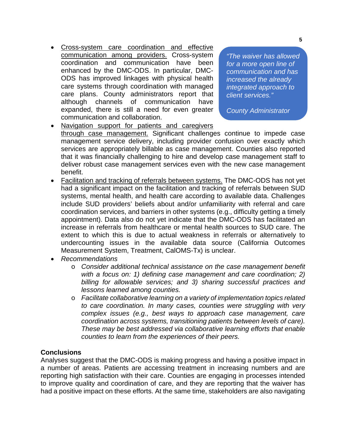• Cross-system care coordination and effective communication among providers. Cross-system coordination and communication have been enhanced by the DMC-ODS. In particular, DMC-ODS has improved linkages with physical health care systems through coordination with managed care plans. County administrators report that although channels of communication have expanded, there is still a need for even greater communication and collaboration.

*"The waiver has allowed for a more open line of communication and has increased the already integrated approach to client services."*

*County Administrator*

- Navigation support for patients and caregivers through case management. Significant challenges continue to impede case management service delivery, including provider confusion over exactly which services are appropriately billable as case management. Counties also reported that it was financially challenging to hire and develop case management staff to deliver robust case management services even with the new case management benefit.
- Facilitation and tracking of referrals between systems. The DMC-ODS has not yet had a significant impact on the facilitation and tracking of referrals between SUD systems, mental health, and health care according to available data. Challenges include SUD providers' beliefs about and/or unfamiliarity with referral and care coordination services, and barriers in other systems (e.g., difficulty getting a timely appointment). Data also do not yet indicate that the DMC-ODS has facilitated an increase in referrals from healthcare or mental health sources to SUD care. The extent to which this is due to actual weakness in referrals or alternatively to undercounting issues in the available data source (California Outcomes Measurement System, Treatment, CalOMS-Tx) is unclear.
- *Recommendations*
	- o *Consider additional technical assistance on the case management benefit with a focus on: 1) defining case management and care coordination; 2) billing for allowable services; and 3) sharing successful practices and lessons learned among counties.*
	- o *Facilitate collaborative learning on a variety of implementation topics related to care coordination. In many cases, counties were struggling with very complex issues (e.g., best ways to approach case management, care coordination across systems, transitioning patients between levels of care). These may be best addressed via collaborative learning efforts that enable counties to learn from the experiences of their peers.*

# **Conclusions**

Analyses suggest that the DMC-ODS is making progress and having a positive impact in a number of areas. Patients are accessing treatment in increasing numbers and are reporting high satisfaction with their care. Counties are engaging in processes intended to improve quality and coordination of care, and they are reporting that the waiver has had a positive impact on these efforts. At the same time, stakeholders are also navigating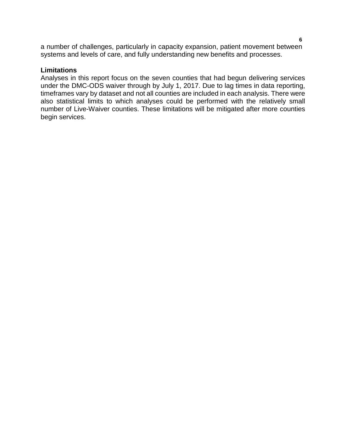a number of challenges, particularly in capacity expansion, patient movement between systems and levels of care, and fully understanding new benefits and processes.

# **Limitations**

Analyses in this report focus on the seven counties that had begun delivering services under the DMC-ODS waiver through by July 1, 2017. Due to lag times in data reporting, timeframes vary by dataset and not all counties are included in each analysis. There were also statistical limits to which analyses could be performed with the relatively small number of Live-Waiver counties. These limitations will be mitigated after more counties begin services.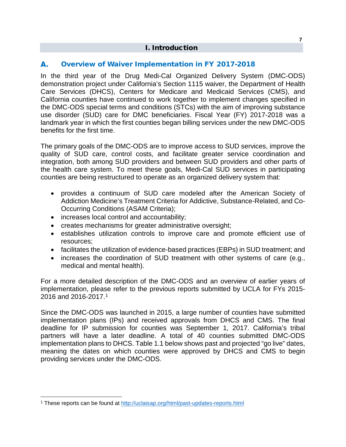# I. Introduction

### <span id="page-9-1"></span><span id="page-9-0"></span>А. Overview of Waiver Implementation in FY 2017-2018

In the third year of the Drug Medi-Cal Organized Delivery System (DMC-ODS) demonstration project under California's Section 1115 waiver, the Department of Health Care Services (DHCS), Centers for Medicare and Medicaid Services (CMS), and California counties have continued to work together to implement changes specified in the DMC-ODS special terms and conditions (STCs) with the aim of improving substance use disorder (SUD) care for DMC beneficiaries. Fiscal Year (FY) 2017-2018 was a landmark year in which the first counties began billing services under the new DMC-ODS benefits for the first time.

The primary goals of the DMC-ODS are to improve access to SUD services, improve the quality of SUD care, control costs, and facilitate greater service coordination and integration, both among SUD providers and between SUD providers and other parts of the health care system. To meet these goals, Medi-Cal SUD services in participating counties are being restructured to operate as an organized delivery system that:

- provides a continuum of SUD care modeled after the American Society of Addiction Medicine's Treatment Criteria for Addictive, Substance-Related, and Co-Occurring Conditions (ASAM Criteria);
- increases local control and accountability;
- creates mechanisms for greater administrative oversight;
- establishes utilization controls to improve care and promote efficient use of resources;
- facilitates the utilization of evidence-based practices (EBPs) in SUD treatment; and
- increases the coordination of SUD treatment with other systems of care (e.g., medical and mental health).

For a more detailed description of the DMC-ODS and an overview of earlier years of implementation, please refer to the previous reports submitted by UCLA for FYs 2015- 2016 and 2016-2017.[1](#page-9-2)

Since the DMC-ODS was launched in 2015, a large number of counties have submitted implementation plans (IPs) and received approvals from DHCS and CMS. The final deadline for IP submission for counties was September 1, 2017. California's tribal partners will have a later deadline. A total of 40 counties submitted DMC-ODS implementation plans to DHCS. Table 1.1 below shows past and projected "go live" dates, meaning the dates on which counties were approved by DHCS and CMS to begin providing services under the DMC-ODS.

<span id="page-9-2"></span><sup>&</sup>lt;sup>1</sup> These reports can be found at<http://uclaisap.org/html/past-updates-reports.html>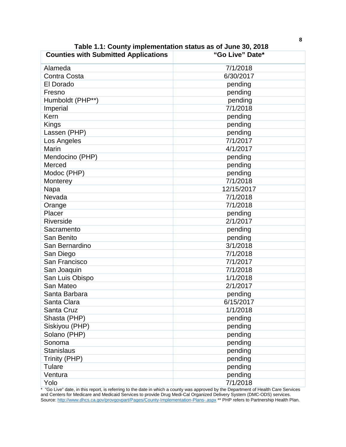| <b>Counties with Submitted Applications</b> | "Go Live" Date* |  |  |
|---------------------------------------------|-----------------|--|--|
| Alameda                                     | 7/1/2018        |  |  |
| <b>Contra Costa</b>                         | 6/30/2017       |  |  |
| El Dorado                                   | pending         |  |  |
| Fresno                                      | pending         |  |  |
| Humboldt (PHP**)                            | pending         |  |  |
| Imperial                                    | 7/1/2018        |  |  |
| Kern                                        | pending         |  |  |
| Kings                                       | pending         |  |  |
| Lassen (PHP)                                | pending         |  |  |
| Los Angeles                                 | 7/1/2017        |  |  |
| Marin                                       | 4/1/2017        |  |  |
| Mendocino (PHP)                             | pending         |  |  |
| Merced                                      | pending         |  |  |
| Modoc (PHP)                                 | pending         |  |  |
| Monterey                                    | 7/1/2018        |  |  |
| Napa                                        | 12/15/2017      |  |  |
| Nevada                                      | 7/1/2018        |  |  |
| Orange                                      | 7/1/2018        |  |  |
| Placer                                      | pending         |  |  |
| Riverside                                   | 2/1/2017        |  |  |
| Sacramento                                  | pending         |  |  |
| San Benito                                  | pending         |  |  |
| San Bernardino                              | 3/1/2018        |  |  |
| San Diego                                   | 7/1/2018        |  |  |
| San Francisco                               | 7/1/2017        |  |  |
| San Joaquin                                 | 7/1/2018        |  |  |
| San Luis Obispo                             | 1/1/2018        |  |  |
| San Mateo                                   | 2/1/2017        |  |  |
| Santa Barbara                               | pending         |  |  |
| Santa Clara                                 | 6/15/2017       |  |  |
| Santa Cruz                                  | 1/1/2018        |  |  |
| Shasta (PHP)                                | pending         |  |  |
| Siskiyou (PHP)                              | pending         |  |  |
| Solano (PHP)                                | pending         |  |  |
| Sonoma                                      | pending         |  |  |
| <b>Stanislaus</b>                           | pending         |  |  |
| Trinity (PHP)                               | pending         |  |  |
| <b>Tulare</b>                               | pending         |  |  |
| Ventura                                     | pending         |  |  |
| Yolo                                        | 7/1/2018        |  |  |

**Table 1.1: County implementation status as of June 30, 2018**

\* "Go Live" date, in this report, is referring to the date in which a county was approved by the Department of Health Care Services and Centers for Medicare and Medicaid Services to provide Drug Medi-Cal Organized Delivery System (DMC-ODS) services. Source:<http://www.dhcs.ca.gov/provgovpart/Pages/County-Implementation-Plans-.aspx> \*\* PHP refers to Partnership Health Plan.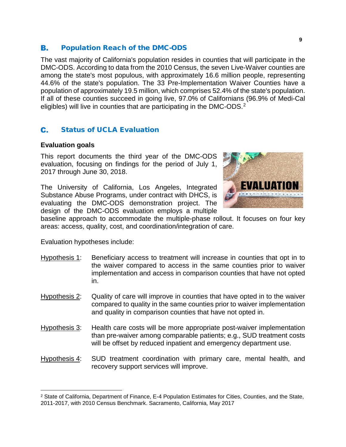#### <span id="page-11-0"></span>В. Population Reach of the DMC-ODS

The vast majority of California's population resides in counties that will participate in the DMC-ODS. According to data from the 2010 Census, the seven Live-Waiver counties are among the state's most populous, with approximately 16.6 million people, representing 44.6% of the state's population. The 33 Pre-Implementation Waiver Counties have a population of approximately 19.5 million, which comprises 52.4% of the state's population. If all of these counties succeed in going live, 97.0% of Californians (96.9% of Medi-Cal eligibles) will live in counties that are participating in the DMC-ODS.<sup>[2](#page-11-2)</sup>

## <span id="page-11-1"></span>C. Status of UCLA Evaluation

# **Evaluation goals**

This report documents the third year of the DMC-ODS evaluation, focusing on findings for the period of July 1, 2017 through June 30, 2018.

The University of California, Los Angeles, Integrated Substance Abuse Programs, under contract with DHCS, is evaluating the DMC-ODS demonstration project. The design of the DMC-ODS evaluation employs a multiple



baseline approach to accommodate the multiple-phase rollout. It focuses on four key areas: access, quality, cost, and coordination/integration of care.

Evaluation hypotheses include:

- Hypothesis 1: Beneficiary access to treatment will increase in counties that opt in to the waiver compared to access in the same counties prior to waiver implementation and access in comparison counties that have not opted in.
- Hypothesis 2: Quality of care will improve in counties that have opted in to the waiver compared to quality in the same counties prior to waiver implementation and quality in comparison counties that have not opted in.
- Hypothesis 3: Health care costs will be more appropriate post-waiver implementation than pre-waiver among comparable patients; e.g., SUD treatment costs will be offset by reduced inpatient and emergency department use.
- Hypothesis 4: SUD treatment coordination with primary care, mental health, and recovery support services will improve.

<span id="page-11-2"></span> <sup>2</sup> State of California, Department of Finance, E-4 Population Estimates for Cities, Counties, and the State, 2011-2017, with 2010 Census Benchmark. Sacramento, California, May 2017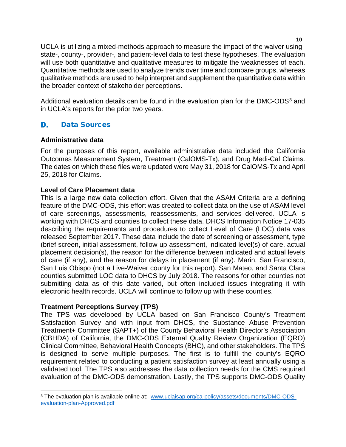UCLA is utilizing a mixed-methods approach to measure the impact of the waiver using state-, county-, provider-, and patient-level data to test these hypotheses. The evaluation will use both quantitative and qualitative measures to mitigate the weaknesses of each. Quantitative methods are used to analyze trends over time and compare groups, whereas qualitative methods are used to help interpret and supplement the quantitative data within the broader context of stakeholder perceptions.

Additional evaluation details can be found in the evaluation plan for the DMC-ODS $3$  and in UCLA's reports for the prior two years.

## <span id="page-12-0"></span>D. Data Sources

# **Administrative data**

For the purposes of this report, available administrative data included the California Outcomes Measurement System, Treatment (CalOMS-Tx), and Drug Medi-Cal Claims. The dates on which these files were updated were May 31, 2018 for CalOMS-Tx and April 25, 2018 for Claims.

# **Level of Care Placement data**

This is a large new data collection effort. Given that the ASAM Criteria are a defining feature of the DMC-ODS, this effort was created to collect data on the use of ASAM level of care screenings, assessments, reassessments, and services delivered. UCLA is working with DHCS and counties to collect these data. DHCS Information Notice 17-035 describing the requirements and procedures to collect Level of Care (LOC) data was released September 2017. These data include the date of screening or assessment, type (brief screen, initial assessment, follow-up assessment, indicated level(s) of care, actual placement decision(s), the reason for the difference between indicated and actual levels of care (if any), and the reason for delays in placement (if any). Marin, San Francisco, San Luis Obispo (not a Live-Waiver county for this report), San Mateo, and Santa Clara counties submitted LOC data to DHCS by July 2018. The reasons for other counties not submitting data as of this date varied, but often included issues integrating it with electronic health records. UCLA will continue to follow up with these counties.

# **Treatment Perceptions Survey (TPS)**

The TPS was developed by UCLA based on San Francisco County's Treatment Satisfaction Survey and with input from DHCS, the Substance Abuse Prevention Treatment+ Committee (SAPT+) of the County Behavioral Health Director's Association (CBHDA) of California, the DMC-ODS External Quality Review Organization (EQRO) Clinical Committee, Behavioral Health Concepts (BHC), and other stakeholders. The TPS is designed to serve multiple purposes. The first is to fulfill the county's EQRO requirement related to conducting a patient satisfaction survey at least annually using a validated tool. The TPS also addresses the data collection needs for the CMS required evaluation of the DMC-ODS demonstration. Lastly, the TPS supports DMC-ODS Quality

**10**

<span id="page-12-1"></span><sup>&</sup>lt;sup>3</sup> The evaluation plan is available online at: [www.uclaisap.org/ca-policy/assets/documents/DMC-ODS](http://www.uclaisap.org/ca-policy/assets/documents/DMC-ODS-evaluation-plan-Approved.pdf)[evaluation-plan-Approved.pdf](http://www.uclaisap.org/ca-policy/assets/documents/DMC-ODS-evaluation-plan-Approved.pdf)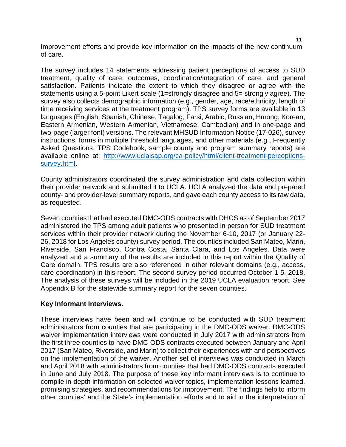Improvement efforts and provide key information on the impacts of the new continuum of care.

The survey includes 14 statements addressing patient perceptions of access to SUD treatment, quality of care, outcomes, coordination/integration of care, and general satisfaction. Patients indicate the extent to which they disagree or agree with the statements using a 5-point Likert scale (1=strongly disagree and 5= strongly agree). The survey also collects demographic information (e.g., gender, age, race/ethnicity, length of time receiving services at the treatment program). TPS survey forms are available in 13 languages (English, Spanish, Chinese, Tagalog, Farsi, Arabic, Russian, Hmong, Korean, Eastern Armenian, Western Armenian, Vietnamese, Cambodian) and in one-page and two-page (larger font) versions. The relevant MHSUD Information Notice (17-026), survey instructions, forms in multiple threshold languages, and other materials (e.g., Frequently Asked Questions, TPS Codebook, sample county and program summary reports) are available online at: [http://www.uclaisap.org/ca-policy/html/client-treatment-perceptions](http://www.uclaisap.org/ca-policy/html/client-treatment-perceptions-survey.html)[survey.html.](http://www.uclaisap.org/ca-policy/html/client-treatment-perceptions-survey.html)

County administrators coordinated the survey administration and data collection within their provider network and submitted it to UCLA. UCLA analyzed the data and prepared county- and provider-level summary reports, and gave each county access to its raw data, as requested.

Seven counties that had executed DMC-ODS contracts with DHCS as of September 2017 administered the TPS among adult patients who presented in person for SUD treatment services within their provider network during the November 6-10, 2017 (or January 22- 26, 2018 for Los Angeles county) survey period. The counties included San Mateo, Marin, Riverside, San Francisco, Contra Costa, Santa Clara, and Los Angeles. Data were analyzed and a summary of the results are included in this report within the Quality of Care domain. TPS results are also referenced in other relevant domains (e.g., access, care coordination) in this report. The second survey period occurred October 1-5, 2018. The analysis of these surveys will be included in the 2019 UCLA evaluation report. See Appendix B for the statewide summary report for the seven counties.

# **Key Informant Interviews.**

These interviews have been and will continue to be conducted with SUD treatment administrators from counties that are participating in the DMC-ODS waiver. DMC-ODS waiver implementation interviews were conducted in July 2017 with administrators from the first three counties to have DMC-ODS contracts executed between January and April 2017 (San Mateo, Riverside, and Marin) to collect their experiences with and perspectives on the implementation of the waiver. Another set of interviews was conducted in March and April 2018 with administrators from counties that had DMC-ODS contracts executed in June and July 2018. The purpose of these key informant interviews is to continue to compile in-depth information on selected waiver topics, implementation lessons learned, promising strategies, and recommendations for improvement. The findings help to inform other counties' and the State's implementation efforts and to aid in the interpretation of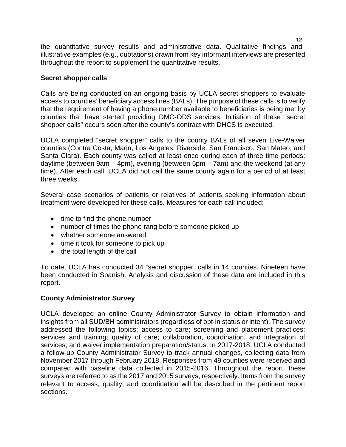the quantitative survey results and administrative data. Qualitative findings and illustrative examples (e.g., quotations) drawn from key informant interviews are presented throughout the report to supplement the quantitative results.

# **Secret shopper calls**

Calls are being conducted on an ongoing basis by UCLA secret shoppers to evaluate access to counties' beneficiary access lines (BALs). The purpose of these calls is to verify that the requirement of having a phone number available to beneficiaries is being met by counties that have started providing DMC-ODS services. Initiation of these "secret shopper calls" occurs soon after the county's contract with DHCS is executed.

UCLA completed "secret shopper" calls to the county BALs of all seven Live-Waiver counties (Contra Costa, Marin, Los Angeles, Riverside, San Francisco, San Mateo, and Santa Clara). Each county was called at least once during each of three time periods; daytime (between 9am – 4pm), evening (between 5pm – 7am) and the weekend (at any time). After each call, UCLA did not call the same county again for a period of at least three weeks.

Several case scenarios of patients or relatives of patients seeking information about treatment were developed for these calls. Measures for each call included:

- time to find the phone number
- number of times the phone rang before someone picked up
- whether someone answered
- time it took for someone to pick up
- the total length of the call

To date, UCLA has conducted 34 "secret shopper" calls in 14 counties. Nineteen have been conducted in Spanish. Analysis and discussion of these data are included in this report.

# **County Administrator Survey**

UCLA developed an online County Administrator Survey to obtain information and insights from all SUD/BH administrators (regardless of opt-in status or intent). The survey addressed the following topics: access to care; screening and placement practices; services and training; quality of care; collaboration, coordination, and integration of services; and waiver implementation preparation/status. In 2017-2018, UCLA conducted a follow-up County Administrator Survey to track annual changes, collecting data from November 2017 through February 2018. Responses from 49 counties were received and compared with baseline data collected in 2015-2016. Throughout the report, these surveys are referred to as the 2017 and 2015 surveys, respectively. Items from the survey relevant to access, quality, and coordination will be described in the pertinent report sections.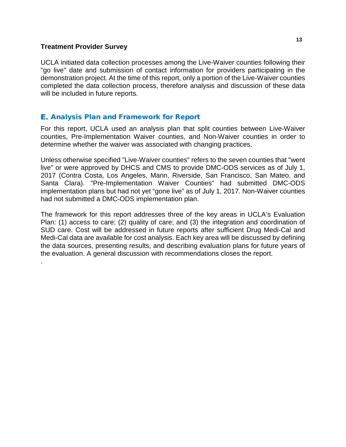# **Treatment Provider Survey**

.

UCLA initiated data collection processes among the Live-Waiver counties following their "go live" date and submission of contact information for providers participating in the demonstration project. At the time of this report, only a portion of the Live-Waiver counties completed the data collection process, therefore analysis and discussion of these data will be included in future reports.

# <span id="page-15-0"></span>**E.** Analysis Plan and Framework for Report

For this report, UCLA used an analysis plan that split counties between Live-Waiver counties, Pre-Implementation Waiver counties, and Non-Waiver counties in order to determine whether the waiver was associated with changing practices.

Unless otherwise specified "Live-Waiver counties" refers to the seven counties that "went live" or were approved by DHCS and CMS to provide DMC-ODS services as of July 1, 2017 (Contra Costa, Los Angeles, Marin, Riverside, San Francisco, San Mateo, and Santa Clara). "Pre-Implementation Waiver Counties" had submitted DMC-ODS implementation plans but had not yet "gone live" as of July 1, 2017. Non-Waiver counties had not submitted a DMC-ODS implementation plan.

The framework for this report addresses three of the key areas in UCLA's Evaluation Plan: (1) access to care; (2) quality of care; and (3) the integration and coordination of SUD care. Cost will be addressed in future reports after sufficient Drug Medi-Cal and Medi-Cal data are available for cost analysis. Each key area will be discussed by defining the data sources, presenting results, and describing evaluation plans for future years of the evaluation. A general discussion with recommendations closes the report.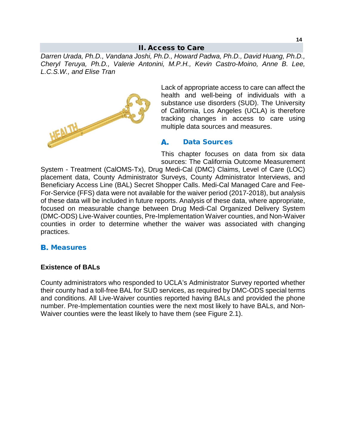# II. Access to Care

<span id="page-16-0"></span>*Darren Urada, Ph.D., Vandana Joshi, Ph.D., Howard Padwa, Ph.D., David Huang, Ph.D., Cheryl Teruya, Ph.D., Valerie Antonini, M.P.H., Kevin Castro-Moino, Anne B. Lee, L.C.S.W., and Elise Tran*



Lack of appropriate access to care can affect the health and well-being of individuals with a substance use disorders (SUD). The University of California, Los Angeles (UCLA) is therefore tracking changes in access to care using multiple data sources and measures.

## <span id="page-16-1"></span>А. Data Sources

This chapter focuses on data from six data sources: The California Outcome Measurement

System - Treatment (CalOMS-Tx), Drug Medi-Cal (DMC) Claims, Level of Care (LOC) placement data, County Administrator Surveys, County Administrator Interviews, and Beneficiary Access Line (BAL) Secret Shopper Calls. Medi-Cal Managed Care and Fee-For-Service (FFS) data were not available for the waiver period (2017-2018), but analysis of these data will be included in future reports. Analysis of these data, where appropriate, focused on measurable change between Drug Medi-Cal Organized Delivery System (DMC-ODS) Live-Waiver counties, Pre-Implementation Waiver counties, and Non-Waiver counties in order to determine whether the waiver was associated with changing practices.

# <span id="page-16-2"></span>**B.** Measures

# **Existence of BALs**

County administrators who responded to UCLA's Administrator Survey reported whether their county had a toll-free BAL for SUD services, as required by DMC-ODS special terms and conditions. All Live-Waiver counties reported having BALs and provided the phone number. Pre-Implementation counties were the next most likely to have BALs, and Non-Waiver counties were the least likely to have them (see Figure 2.1).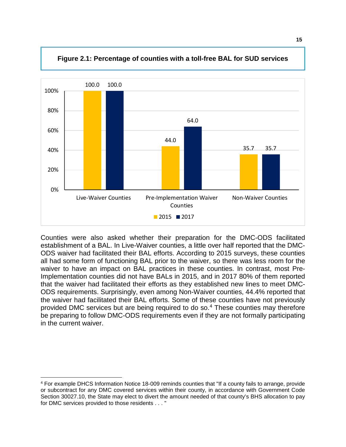

**Figure 2.1: Percentage of counties with a toll-free BAL for SUD services**

Counties were also asked whether their preparation for the DMC-ODS facilitated establishment of a BAL. In Live-Waiver counties, a little over half reported that the DMC-ODS waiver had facilitated their BAL efforts. According to 2015 surveys, these counties all had some form of functioning BAL prior to the waiver, so there was less room for the waiver to have an impact on BAL practices in these counties. In contrast, most Pre-Implementation counties did not have BALs in 2015, and in 2017 80% of them reported that the waiver had facilitated their efforts as they established new lines to meet DMC-ODS requirements. Surprisingly, even among Non-Waiver counties, 44.4% reported that the waiver had facilitated their BAL efforts. Some of these counties have not previously provided DMC services but are being required to do so.[4](#page-17-0) These counties may therefore be preparing to follow DMC-ODS requirements even if they are not formally participating in the current waiver.

<span id="page-17-0"></span> <sup>4</sup> For example DHCS Information Notice 18-009 reminds counties that "If a county fails to arrange, provide or subcontract for any DMC covered services within their county, in accordance with Government Code Section 30027.10, the State may elect to divert the amount needed of that county's BHS allocation to pay for DMC services provided to those residents . . . "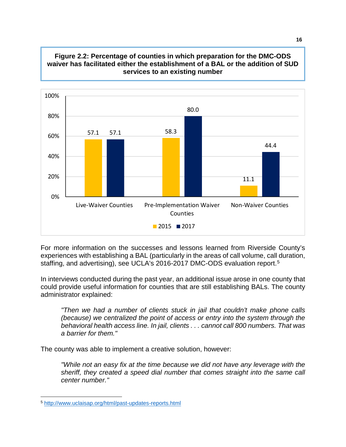



For more information on the successes and lessons learned from Riverside County's experiences with establishing a BAL (particularly in the areas of call volume, call duration, staffing, and advertising), see UCLA's 2016-2017 DMC-ODS evaluation report.<sup>[5](#page-18-0)</sup>

In interviews conducted during the past year, an additional issue arose in one county that could provide useful information for counties that are still establishing BALs. The county administrator explained:

*"Then we had a number of clients stuck in jail that couldn't make phone calls (because) we centralized the point of access or entry into the system through the behavioral health access line. In jail, clients . . . cannot call 800 numbers. That was a barrier for them."*

The county was able to implement a creative solution, however:

*"While not an easy fix at the time because we did not have any leverage with the sheriff, they created a speed dial number that comes straight into the same call center number."*

<span id="page-18-0"></span> <sup>5</sup> <http://www.uclaisap.org/html/past-updates-reports.html>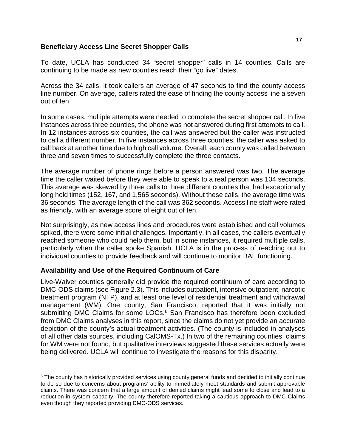# **Beneficiary Access Line Secret Shopper Calls**

To date, UCLA has conducted 34 "secret shopper" calls in 14 counties. Calls are continuing to be made as new counties reach their "go live" dates.

Across the 34 calls, it took callers an average of 47 seconds to find the county access line number. On average, callers rated the ease of finding the county access line a seven out of ten.

In some cases, multiple attempts were needed to complete the secret shopper call. In five instances across three counties, the phone was not answered during first attempts to call. In 12 instances across six counties, the call was answered but the caller was instructed to call a different number. In five instances across three counties, the caller was asked to call back at another time due to high call volume. Overall, each county was called between three and seven times to successfully complete the three contacts.

The average number of phone rings before a person answered was two. The average time the caller waited before they were able to speak to a real person was 104 seconds. This average was skewed by three calls to three different counties that had exceptionally long hold times (152, 167, and 1,565 seconds). Without these calls, the average time was 36 seconds. The average length of the call was 362 seconds. Access line staff were rated as friendly, with an average score of eight out of ten.

Not surprisingly, as new access lines and procedures were established and call volumes spiked, there were some initial challenges. Importantly, in all cases, the callers eventually reached someone who could help them, but in some instances, it required multiple calls, particularly when the caller spoke Spanish. UCLA is in the process of reaching out to individual counties to provide feedback and will continue to monitor BAL functioning.

# **Availability and Use of the Required Continuum of Care**

Live-Waiver counties generally did provide the required continuum of care according to DMC-ODS claims (see Figure 2.3). This includes outpatient, intensive outpatient, narcotic treatment program (NTP), and at least one level of residential treatment and withdrawal management (WM). One county, San Francisco, reported that it was initially not submitting DMC Claims for some LOCs. [6](#page-19-0) San Francisco has therefore been excluded from DMC Claims analyses in this report, since the claims do not yet provide an accurate depiction of the county's actual treatment activities. (The county is included in analyses of all other data sources, including CalOMS-Tx.) In two of the remaining counties, claims for WM were not found, but qualitative interviews suggested these services actually were being delivered. UCLA will continue to investigate the reasons for this disparity.

<span id="page-19-0"></span><sup>&</sup>lt;sup>6</sup> The county has historically provided services using county general funds and decided to initially continue to do so due to concerns about programs' ability to immediately meet standards and submit approvable claims. There was concern that a large amount of denied claims might lead some to close and lead to a reduction in system capacity. The county therefore reported taking a cautious approach to DMC Claims even though they reported providing DMC-ODS services.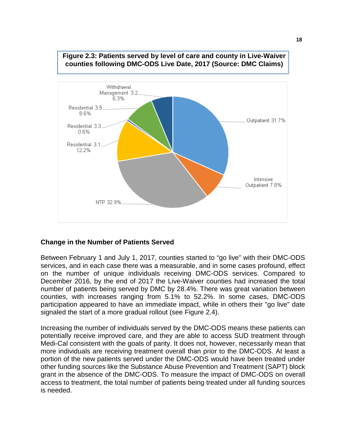

# **Figure 2.3: Patients served by level of care and county in Live-Waiver counties following DMC-ODS Live Date, 2017 (Source: DMC Claims)**

# **Change in the Number of Patients Served**

Between February 1 and July 1, 2017, counties started to "go live" with their DMC-ODS services, and in each case there was a measurable, and in some cases profound, effect on the number of unique individuals receiving DMC-ODS services. Compared to December 2016, by the end of 2017 the Live-Waiver counties had increased the total number of patients being served by DMC by 28.4%. There was great variation between counties, with increases ranging from 5.1% to 52.2%. In some cases, DMC-ODS participation appeared to have an immediate impact, while in others their "go live" date signaled the start of a more gradual rollout (see Figure 2.4).

Increasing the number of individuals served by the DMC-ODS means these patients can potentially receive improved care, and they are able to access SUD treatment through Medi-Cal consistent with the goals of parity. It does not, however, necessarily mean that more individuals are receiving treatment overall than prior to the DMC-ODS. At least a portion of the new patients served under the DMC-ODS would have been treated under other funding sources like the Substance Abuse Prevention and Treatment (SAPT) block grant in the absence of the DMC-ODS. To measure the impact of DMC-ODS on overall access to treatment, the total number of patients being treated under all funding sources is needed.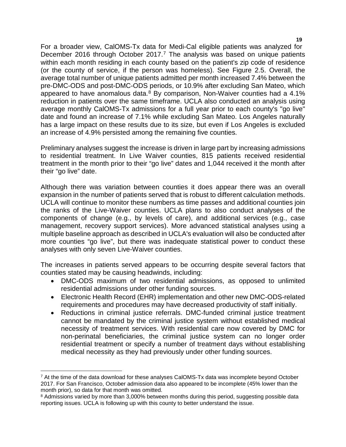For a broader view, CalOMS-Tx data for Medi-Cal eligible patients was analyzed for December 2016 through October 201[7](#page-21-0).<sup>7</sup> The analysis was based on unique patients within each month residing in each county based on the patient's zip code of residence (or the county of service, if the person was homeless). See Figure 2.5. Overall, the average total number of unique patients admitted per month increased 7.4% between the pre-DMC-ODS and post-DMC-ODS periods, or 10.9% after excluding San Mateo, which appeared to have anomalous data. $8$  By comparison, Non-Waiver counties had a 4.1% reduction in patients over the same timeframe. UCLA also conducted an analysis using average monthly CalOMS-Tx admissions for a full year prior to each county's "go live" date and found an increase of 7.1% while excluding San Mateo. Los Angeles naturally has a large impact on these results due to its size, but even if Los Angeles is excluded an increase of 4.9% persisted among the remaining five counties.

Preliminary analyses suggest the increase is driven in large part by increasing admissions to residential treatment. In Live Waiver counties, 815 patients received residential treatment in the month prior to their "go live" dates and 1,044 received it the month after their "go live" date.

Although there was variation between counties it does appear there was an overall expansion in the number of patients served that is robust to different calculation methods. UCLA will continue to monitor these numbers as time passes and additional counties join the ranks of the Live-Waiver counties. UCLA plans to also conduct analyses of the components of change (e.g., by levels of care), and additional services (e.g., case management, recovery support services). More advanced statistical analyses using a multiple baseline approach as described in UCLA's evaluation will also be conducted after more counties "go live", but there was inadequate statistical power to conduct these analyses with only seven Live-Waiver counties.

The increases in patients served appears to be occurring despite several factors that counties stated may be causing headwinds, including:

- DMC-ODS maximum of two residential admissions, as opposed to unlimited residential admissions under other funding sources.
- Electronic Health Record (EHR) implementation and other new DMC-ODS-related requirements and procedures may have decreased productivity of staff initially.
- Reductions in criminal justice referrals. DMC-funded criminal justice treatment cannot be mandated by the criminal justice system without established medical necessity of treatment services. With residential care now covered by DMC for non-perinatal beneficiaries, the criminal justice system can no longer order residential treatment or specify a number of treatment days without establishing medical necessity as they had previously under other funding sources.

<span id="page-21-0"></span> $7$  At the time of the data download for these analyses CalOMS-Tx data was incomplete beyond October 2017. For San Francisco, October admission data also appeared to be incomplete (45% lower than the month prior), so data for that month was omitted.

<span id="page-21-1"></span><sup>&</sup>lt;sup>8</sup> Admissions varied by more than 3,000% between months during this period, suggesting possible data reporting issues. UCLA is following up with this county to better understand the issue.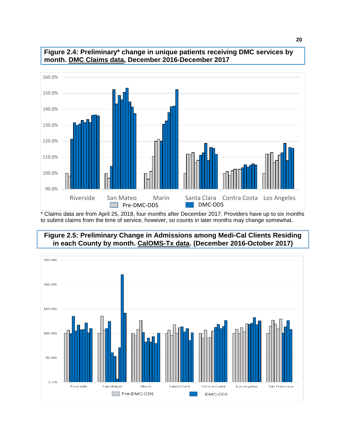



\* Claims data are from April 25, 2018, four months after December 2017. Providers have up to six months to submit claims from the time of service, however, so counts in later months may change somewhat.

# **Figure 2.5: Preliminary Change in Admissions among Medi-Cal Clients Residing in each County by month. CalOMS-Tx data. (December 2016-October 2017)**

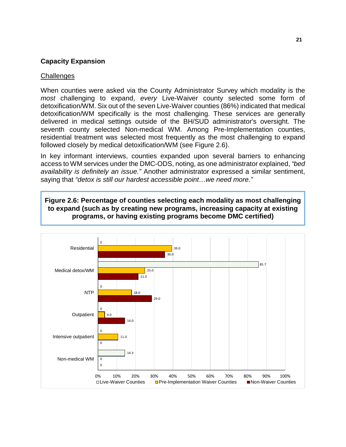# **Capacity Expansion**

# **Challenges**

When counties were asked via the County Administrator Survey which modality is the *most* challenging to expand, *every* Live-Waiver county selected some form of detoxification/WM. Six out of the seven Live-Waiver counties (86%) indicated that medical detoxification/WM specifically is the most challenging. These services are generally delivered in medical settings outside of the BH/SUD administrator's oversight. The seventh county selected Non-medical WM. Among Pre-Implementation counties, residential treatment was selected most frequently as the most challenging to expand followed closely by medical detoxification/WM (see Figure 2.6).

In key informant interviews, counties expanded upon several barriers to enhancing access to WM services under the DMC-ODS, noting, as one administrator explained, *"bed availability is definitely an issue."* Another administrator expressed a similar sentiment, saying that *"detox is still our hardest accessible point…we need more."* 

**Figure 2.6: Percentage of counties selecting each modality as most challenging to expand (such as by creating new programs, increasing capacity at existing programs, or having existing programs become DMC certified)**

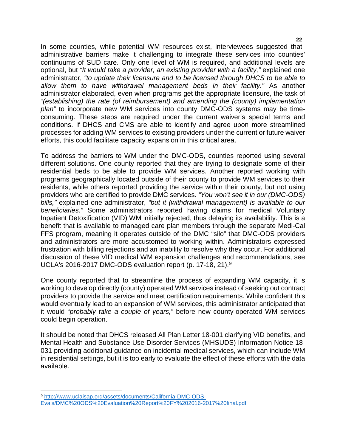In some counties, while potential WM resources exist, interviewees suggested that administrative barriers make it challenging to integrate these services into counties' continuums of SUD care. Only one level of WM is required, and additional levels are optional, but *"It would take a provider, an existing provider with a facility,"* explained one administrator, *"to update their licensure and to be licensed through DHCS to be able to allow them to have withdrawal management beds in their facility."* As another administrator elaborated, even when programs get the appropriate licensure, the task of "*(establishing) the rate (of reimbursement) and amending the (county) implementation plan"* to incorporate new WM services into county DMC-ODS systems may be timeconsuming. These steps are required under the current waiver's special terms and conditions. If DHCS and CMS are able to identify and agree upon more streamlined processes for adding WM services to existing providers under the current or future waiver efforts, this could facilitate capacity expansion in this critical area.

To address the barriers to WM under the DMC-ODS, counties reported using several different solutions. One county reported that they are trying to designate some of their residential beds to be able to provide WM services. Another reported working with programs geographically located outside of their county to provide WM services to their residents, while others reported providing the service within their county, but not using providers who are certified to provide DMC services. *"You won't see it in our (DMC-ODS) bills,"* explained one administrator, *"but it (withdrawal management) is available to our beneficiaries."* Some administrators reported having claims for medical Voluntary Inpatient Detoxification (VID) WM initially rejected, thus delaying its availability. This is a benefit that is available to managed care plan members through the separate Medi-Cal FFS program, meaning it operates outside of the DMC "silo" that DMC-ODS providers and administrators are more accustomed to working within. Administrators expressed frustration with billing rejections and an inability to resolve why they occur. For additional discussion of these VID medical WM expansion challenges and recommendations, see UCLA's 2016-2017 DMC-ODS evaluation report (p. 17-18, 21). [9](#page-24-0)

One county reported that to streamline the process of expanding WM capacity, it is working to develop directly (county) operated WM services instead of seeking out contract providers to provide the service and meet certification requirements. While confident this would eventually lead to an expansion of WM services, this administrator anticipated that it would "*probably take a couple of years,"* before new county-operated WM services could begin operation.

It should be noted that DHCS released All Plan Letter 18-001 clarifying VID benefits, and Mental Health and Substance Use Disorder Services (MHSUDS) Information Notice 18- 031 providing additional guidance on incidental medical services, which can include WM in residential settings, but it is too early to evaluate the effect of these efforts with the data available.

<span id="page-24-0"></span> <sup>9</sup> [http://www.uclaisap.org/assets/documents/California-DMC-ODS-](http://www.uclaisap.org/assets/documents/California-DMC-ODS-Evals/DMC%20ODS%20Evaluation%20Report%20FY%202016-2017%20final.pdf)[Evals/DMC%20ODS%20Evaluation%20Report%20FY%202016-2017%20final.pdf](http://www.uclaisap.org/assets/documents/California-DMC-ODS-Evals/DMC%20ODS%20Evaluation%20Report%20FY%202016-2017%20final.pdf)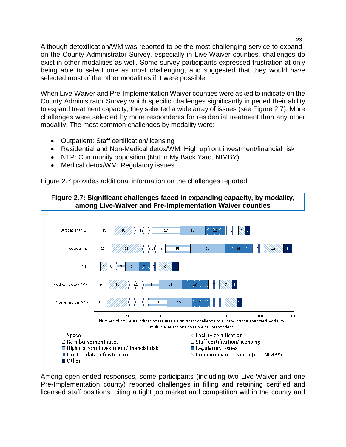Although detoxification/WM was reported to be the most challenging service to expand on the County Administrator Survey, especially in Live-Waiver counties, challenges do exist in other modalities as well. Some survey participants expressed frustration at only being able to select one as most challenging, and suggested that they would have selected most of the other modalities if it were possible.

When Live-Waiver and Pre-Implementation Waiver counties were asked to indicate on the County Administrator Survey which specific challenges significantly impeded their ability to expand treatment capacity, they selected a wide array of issues (see Figure 2.7). More challenges were selected by more respondents for residential treatment than any other modality. The most common challenges by modality were:

- Outpatient: Staff certification/licensing
- Residential and Non-Medical detox/WM: High upfront investment/financial risk
- NTP: Community opposition (Not In My Back Yard, NIMBY)
- Medical detox/WM: Regulatory issues

Figure 2.7 provides additional information on the challenges reported.





Among open-ended responses, some participants (including two Live-Waiver and one Pre-Implementation county) reported challenges in filling and retaining certified and licensed staff positions, citing a tight job market and competition within the county and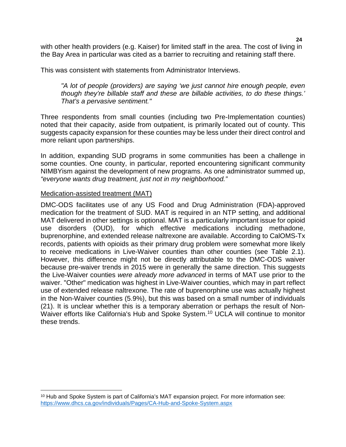with other health providers (e.g. Kaiser) for limited staff in the area. The cost of living in the Bay Area in particular was cited as a barrier to recruiting and retaining staff there.

This was consistent with statements from Administrator Interviews.

*"A lot of people (providers) are saying 'we just cannot hire enough people, even though they're billable staff and these are billable activities, to do these things.' That's a pervasive sentiment."*

Three respondents from small counties (including two Pre-Implementation counties) noted that their capacity, aside from outpatient, is primarily located out of county. This suggests capacity expansion for these counties may be less under their direct control and more reliant upon partnerships.

In addition, expanding SUD programs in some communities has been a challenge in some counties. One county, in particular, reported encountering significant community NIMBYism against the development of new programs. As one administrator summed up, *"everyone wants drug treatment, just not in my neighborhood."*

# Medication-assisted treatment (MAT)

DMC-ODS facilitates use of any US Food and Drug Administration (FDA)-approved medication for the treatment of SUD. MAT is required in an NTP setting, and additional MAT delivered in other settings is optional. MAT is a particularly important issue for opioid use disorders (OUD), for which effective medications including methadone, buprenorphine, and extended release naltrexone are available. According to CalOMS-Tx records, patients with opioids as their primary drug problem were somewhat more likely to receive medications in Live-Waiver counties than other counties (see Table 2.1). However, this difference might not be directly attributable to the DMC-ODS waiver because pre-waiver trends in 2015 were in generally the same direction. This suggests the Live-Waiver counties *were already more advanced* in terms of MAT use prior to the waiver. "Other" medication was highest in Live-Waiver counties, which may in part reflect use of extended release naltrexone. The rate of buprenorphine use was actually highest in the Non-Waiver counties (5.9%), but this was based on a small number of individuals (21). It is unclear whether this is a temporary aberration or perhaps the result of Non-Waiver efforts like California's Hub and Spoke System. [10](#page-26-0) UCLA will continue to monitor these trends.

<span id="page-26-0"></span><sup>&</sup>lt;sup>10</sup> Hub and Spoke System is part of California's MAT expansion project. For more information see: <https://www.dhcs.ca.gov/individuals/Pages/CA-Hub-and-Spoke-System.aspx>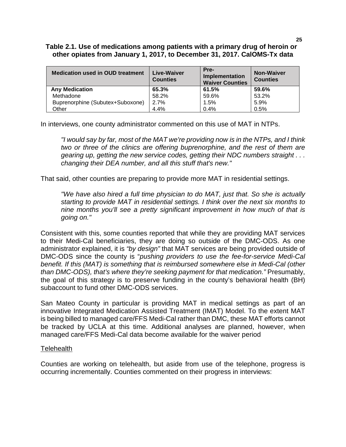# **Table 2.1. Use of medications among patients with a primary drug of heroin or other opiates from January 1, 2017, to December 31, 2017. CalOMS-Tx data**

| <b>Medication used in OUD treatment</b> | Live-Waiver<br><b>Counties</b> | Pre-<br><b>Implementation</b><br><b>Waiver Counties</b> | <b>Non-Waiver</b><br><b>Counties</b> |
|-----------------------------------------|--------------------------------|---------------------------------------------------------|--------------------------------------|
| <b>Any Medication</b>                   | 65.3%                          | 61.5%                                                   | 59.6%                                |
| Methadone                               | 58.2%                          | 59.6%                                                   | 53.2%                                |
| Buprenorphine (Subutex+Suboxone)        | 2.7%                           | 1.5%                                                    | 5.9%                                 |
| Other                                   | 4.4%                           | 0.4%                                                    | 0.5%                                 |

In interviews, one county administrator commented on this use of MAT in NTPs.

*"I would say by far, most of the MAT we're providing now is in the NTPs, and I think two or three of the clinics are offering buprenorphine, and the rest of them are gearing up, getting the new service codes, getting their NDC numbers straight . . . changing their DEA number, and all this stuff that's new."*

That said, other counties are preparing to provide more MAT in residential settings.

*"We have also hired a full time physician to do MAT, just that. So she is actually starting to provide MAT in residential settings. I think over the next six months to nine months you'll see a pretty significant improvement in how much of that is going on."*

Consistent with this, some counties reported that while they are providing MAT services to their Medi-Cal beneficiaries, they are doing so outside of the DMC-ODS. As one administrator explained, it is *"by design"* that MAT services are being provided outside of DMC-ODS since the county is "*pushing providers to use the fee-for-service Medi-Cal benefit. If this (MAT) is something that is reimbursed somewhere else in Medi-Cal (other than DMC-ODS), that's where they're seeking payment for that medication."* Presumably, the goal of this strategy is to preserve funding in the county's behavioral health (BH) subaccount to fund other DMC-ODS services.

San Mateo County in particular is providing MAT in medical settings as part of an innovative Integrated Medication Assisted Treatment (IMAT) Model. To the extent MAT is being billed to managed care/FFS Medi-Cal rather than DMC, these MAT efforts cannot be tracked by UCLA at this time. Additional analyses are planned, however, when managed care/FFS Medi-Cal data become available for the waiver period

## **Telehealth**

Counties are working on telehealth, but aside from use of the telephone, progress is occurring incrementally. Counties commented on their progress in interviews: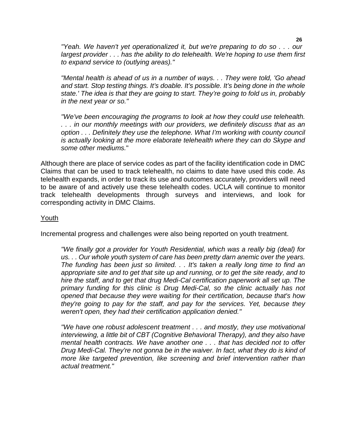*"Yeah. We haven't yet operationalized it, but we're preparing to do so . . . our largest provider . . . has the ability to do telehealth. We're hoping to use them first to expand service to (outlying areas)."*

*"Mental health is ahead of us in a number of ways. . . They were told, 'Go ahead and start. Stop testing things. It's doable. It's possible. It's being done in the whole state.' The idea is that they are going to start. They're going to fold us in, probably in the next year or so."*

*"We've been encouraging the programs to look at how they could use telehealth. . . . in our monthly meetings with our providers, we definitely discuss that as an option . . . Definitely they use the telephone. What I'm working with county council is actually looking at the more elaborate telehealth where they can do Skype and some other mediums.*"

Although there are place of service codes as part of the facility identification code in DMC Claims that can be used to track telehealth, no claims to date have used this code. As telehealth expands, in order to track its use and outcomes accurately, providers will need to be aware of and actively use these telehealth codes. UCLA will continue to monitor track telehealth developments through surveys and interviews, and look for corresponding activity in DMC Claims.

# Youth

Incremental progress and challenges were also being reported on youth treatment.

*"We finally got a provider for Youth Residential, which was a really big (deal) for us. . . Our whole youth system of care has been pretty darn anemic over the years. The funding has been just so limited. . . It's taken a really long time to find an appropriate site and to get that site up and running, or to get the site ready, and to hire the staff, and to get that drug Medi-Cal certification paperwork all set up. The primary funding for this clinic is Drug Medi-Cal, so the clinic actually has not opened that because they were waiting for their certification, because that's how they're going to pay for the staff, and pay for the services. Yet, because they weren't open, they had their certification application denied."*

*"We have one robust adolescent treatment . . . and mostly, they use motivational interviewing, a little bit of CBT (Cognitive Behavioral Therapy), and they also have mental health contracts. We have another one . . . that has decided not to offer Drug Medi-Cal. They're not gonna be in the waiver. In fact, what they do is kind of more like targeted prevention, like screening and brief intervention rather than actual treatment."*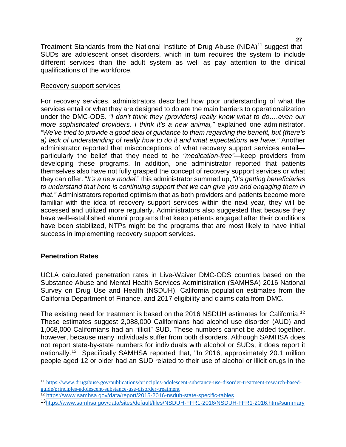Treatment Standards from the National Institute of Drug Abuse  $(NIDA)^{11}$  $(NIDA)^{11}$  $(NIDA)^{11}$  suggest that SUDs are adolescent onset disorders, which in turn requires the system to include different services than the adult system as well as pay attention to the clinical qualifications of the workforce.

# Recovery support services

For recovery services, administrators described how poor understanding of what the services entail or what they are designed to do are the main barriers to operationalization under the DMC-ODS. *"I don't think they (providers) really know what to do….even our more sophisticated providers. I think it's a new animal,"* explained one administrator. *"We've tried to provide a good deal of guidance to them regarding the benefit, but (there's a) lack of understanding of really how to do it and what expectations we have."* Another administrator reported that misconceptions of what recovery support services entail particularly the belief that they need to be *"medication-free"*—keep providers from developing these programs. In addition, one administrator reported that patients themselves also have not fully grasped the concept of recovery support services or what they can offer. "*It's a new model,*" this administrator summed up, "*it's getting beneficiaries to understand that here is continuing support that we can give you and engaging them in that."* Administrators reported optimism that as both providers and patients become more familiar with the idea of recovery support services within the next year, they will be accessed and utilized more regularly. Administrators also suggested that because they have well-established alumni programs that keep patients engaged after their conditions have been stabilized, NTPs might be the programs that are most likely to have initial success in implementing recovery support services.

# **Penetration Rates**

UCLA calculated penetration rates in Live-Waiver DMC-ODS counties based on the Substance Abuse and Mental Health Services Administration (SAMHSA) 2016 National Survey on Drug Use and Health (NSDUH), California population estimates from the California Department of Finance, and 2017 eligibility and claims data from DMC.

The existing need for treatment is based on the 2016 NSDUH estimates for California.<sup>[12](#page-29-1)</sup> These estimates suggest 2,088,000 Californians had alcohol use disorder (AUD) and 1,068,000 Californians had an "illicit" SUD. These numbers cannot be added together, however, because many individuals suffer from both disorders. Although SAMHSA does not report state-by-state numbers for individuals with alcohol or SUDs, it does report it nationally.[13](#page-29-2) Specifically SAMHSA reported that, "In 2016, approximately 20.1 million people aged 12 or older had an SUD related to their use of alcohol or illicit drugs in the

<span id="page-29-0"></span> <sup>11</sup> [https://www.drugabuse.gov/publications/principles-adolescent-substance-use-disorder-treatment-research-based](https://www.drugabuse.gov/publications/principles-adolescent-substance-use-disorder-treatment-research-based-guide/principles-adolescent-substance-use-disorder-treatment)[guide/principles-adolescent-substance-use-disorder-treatment](https://www.drugabuse.gov/publications/principles-adolescent-substance-use-disorder-treatment-research-based-guide/principles-adolescent-substance-use-disorder-treatment)

<span id="page-29-1"></span><sup>12</sup> <https://www.samhsa.gov/data/report/2015-2016-nsduh-state-specific-tables>

<span id="page-29-2"></span><sup>1</sup>[3https://www.samhsa.gov/data/sites/default/files/NSDUH-FFR1-2016/NSDUH-FFR1-2016.htm#summary](https://www.samhsa.gov/data/sites/default/files/NSDUH-FFR1-2016/NSDUH-FFR1-2016.htm#summary)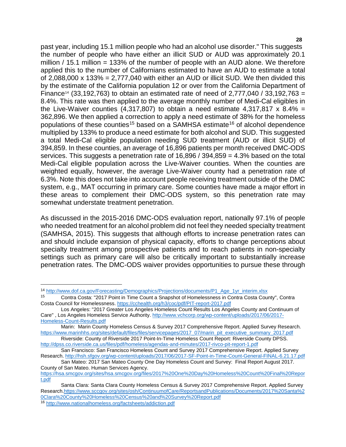past year, including 15.1 million people who had an alcohol use disorder." This suggests the number of people who have either an illicit SUD or AUD was approximately 20.1 million / 15.1 million = 133% of the number of people with an AUD alone. We therefore applied this to the number of Californians estimated to have an AUD to estimate a total of 2,088,000 x 133% = 2,777,040 with either an AUD or illicit SUD. We then divided this by the estimate of the California population 12 or over from the California Department of Finance<sup>[14](#page-30-0)</sup> (33,192,763) to obtain an estimated rate of need of 2,777,040 / 33,192,763 = 8.4%. This rate was then applied to the average monthly number of Medi-Cal eligibles in the Live-Waiver counties (4,317,807) to obtain a need estimate 4,317,817  $\times$  8.4% = 362,896. We then applied a correction to apply a need estimate of 38% for the homeless populations of these counties<sup>[15](#page-30-1)</sup> based on a SAMHSA estimate<sup>[16](#page-30-2)</sup> of alcohol dependence multiplied by 133% to produce a need estimate for both alcohol and SUD. This suggested a total Medi-Cal eligible population needing SUD treatment (AUD or illicit SUD) of 394,859. In these counties, an average of 16,896 patients per month received DMC-ODS services. This suggests a penetration rate of 16,896 / 394,859 = 4.3% based on the total Medi-Cal eligible population across the Live-Waiver counties. When the counties are weighted equally, however, the average Live-Waiver county had a penetration rate of 6.3%. Note this does not take into account people receiving treatment outside of the DMC system, e.g., MAT occurring in primary care. Some counties have made a major effort in these areas to complement their DMC-ODS system, so this penetration rate may somewhat understate treatment penetration.

As discussed in the 2015-2016 DMC-ODS evaluation report, nationally 97.1% of people who needed treatment for an alcohol problem did not feel they needed specialty treatment (SAMHSA, 2015). This suggests that although efforts to increase penetration rates can and should include expansion of physical capacity, efforts to change perceptions about specialty treatment among prospective patients and to reach patients in non-specialty settings such as primary care will also be critically important to substantially increase penetration rates. The DMC-ODS waiver provides opportunities to pursue these through

<span id="page-30-0"></span><sup>&</sup>lt;sup>14</sup> [http://www.dof.ca.gov/Forecasting/Demographics/Projections/documents/P1\\_Age\\_1yr\\_interim.xlsx](http://www.dof.ca.gov/Forecasting/Demographics/Projections/documents/P1_Age_1yr_interim.xlsx)<br><sup>15</sup> Contra Costa: "2017 Point in Time Count a Spanshot of Homelessness in Contra Costa Coun

<span id="page-30-1"></span><sup>15</sup> Contra Costa: "2017 Point in Time Count a Snapshot of Homelessness in Contra Costa County", Contra Costa Council for Homelessness[. https://cchealth.org/h3/coc/pdf/PIT-report-2017.pdf](https://cchealth.org/h3/coc/pdf/PIT-report-2017.pdf)

Los Angeles: "2017 Greater Los Angeles Homeless Count Results Los Angeles County and Continuum of Care" , Los Angeles Homeless Service Authority. [http://www.vchcorp.org/wp-content/uploads/2017/06/2017-](http://www.vchcorp.org/wp-content/uploads/2017/06/2017-Homeless-Count-Results.pdf) [Homeless-Count-Results.pdf](http://www.vchcorp.org/wp-content/uploads/2017/06/2017-Homeless-Count-Results.pdf)

Marin: Marin County Homeless Census & Survey 2017 Comprehensive Report. Applied Survey Research. [https://www.marinhhs.org/sites/default/files/files/servicepages/2017\\_07/marin\\_pit\\_executive\\_summary\\_2017.pdf](https://www.marinhhs.org/sites/default/files/files/servicepages/2017_07/marin_pit_executive_summary_2017.pdf)

Riverside: County of Riverside 2017 Point-In-Time Homeless Count Report: Riverside County DPSS. <http://dpss.co.riverside.ca.us/files/pdf/homeless/agendas-and-minutes/2017-rivco-pit-report-1.pdf>

San Francisco: San Francisco Homeless Count and Survey 2017 Comprehensive Report. Applied Survey Research[. http://hsh.sfgov.org/wp-content/uploads/2017/06/2017-SF-Point-in-Time-Count-General-FINAL-6.21.17.pdf](http://hsh.sfgov.org/wp-content/uploads/2017/06/2017-SF-Point-in-Time-Count-General-FINAL-6.21.17.pdf)

San Mateo: 2017 San Mateo County One Day Homeless Count and Survey: Final Report August 2017. County of San Mateo. Human Services Agency. [https://hsa.smcgov.org/sites/hsa.smcgov.org/files/2017%20One%20Day%20Homeless%20Count%20Final%20Repor](https://hsa.smcgov.org/sites/hsa.smcgov.org/files/2017%20One%20Day%20Homeless%20Count%20Final%20Report.pdf)

[t.pdf](https://hsa.smcgov.org/sites/hsa.smcgov.org/files/2017%20One%20Day%20Homeless%20Count%20Final%20Report.pdf)

Santa Clara: Santa Clara County Homeless Census & Survey 2017 Comprehensive Report. Applied Survey Research[.https://www.sccgov.org/sites/osh/ContinuumofCare/ReportsandPublications/Documents/2017%20Santa%2](https://www.sccgov.org/sites/osh/ContinuumofCare/ReportsandPublications/Documents/2017%20Santa%20Clara%20County%20Homeless%20Census%20and%20Survey%20Report.pdf) [0Clara%20County%20Homeless%20Census%20and%20Survey%20Report.pdf](https://www.sccgov.org/sites/osh/ContinuumofCare/ReportsandPublications/Documents/2017%20Santa%20Clara%20County%20Homeless%20Census%20and%20Survey%20Report.pdf)

<span id="page-30-2"></span><sup>16</sup> <http://www.nationalhomeless.org/factsheets/addiction.pdf>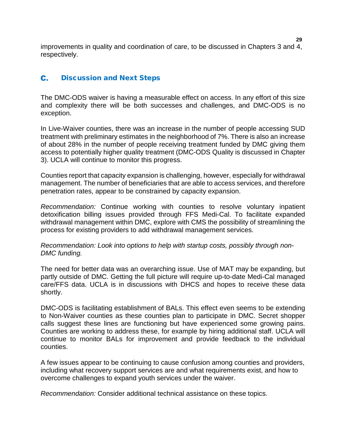improvements in quality and coordination of care, to be discussed in Chapters 3 and 4, respectively.

#### <span id="page-31-0"></span>C. Discussion and Next Steps

The DMC-ODS waiver is having a measurable effect on access. In any effort of this size and complexity there will be both successes and challenges, and DMC-ODS is no exception.

In Live-Waiver counties, there was an increase in the number of people accessing SUD treatment with preliminary estimates in the neighborhood of 7%. There is also an increase of about 28% in the number of people receiving treatment funded by DMC giving them access to potentially higher quality treatment (DMC-ODS Quality is discussed in Chapter 3). UCLA will continue to monitor this progress.

Counties report that capacity expansion is challenging, however, especially for withdrawal management. The number of beneficiaries that are able to access services, and therefore penetration rates, appear to be constrained by capacity expansion.

*Recommendation:* Continue working with counties to resolve voluntary inpatient detoxification billing issues provided through FFS Medi-Cal. To facilitate expanded withdrawal management within DMC, explore with CMS the possibility of streamlining the process for existing providers to add withdrawal management services.

# *Recommendation: Look into options to help with startup costs, possibly through non-DMC funding.*

The need for better data was an overarching issue. Use of MAT may be expanding, but partly outside of DMC. Getting the full picture will require up-to-date Medi-Cal managed care/FFS data. UCLA is in discussions with DHCS and hopes to receive these data shortly.

DMC-ODS is facilitating establishment of BALs. This effect even seems to be extending to Non-Waiver counties as these counties plan to participate in DMC. Secret shopper calls suggest these lines are functioning but have experienced some growing pains. Counties are working to address these, for example by hiring additional staff. UCLA will continue to monitor BALs for improvement and provide feedback to the individual counties.

A few issues appear to be continuing to cause confusion among counties and providers, including what recovery support services are and what requirements exist, and how to overcome challenges to expand youth services under the waiver.

*Recommendation:* Consider additional technical assistance on these topics.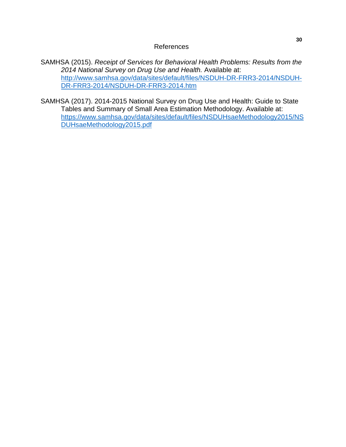References

SAMHSA (2015). *Receipt of Services for Behavioral Health Problems: Results from the 2014 National Survey on Drug Use and Health.* Available at: [http://www.samhsa.gov/data/sites/default/files/NSDUH-DR-FRR3-2014/NSDUH-](http://www.samhsa.gov/data/sites/default/files/NSDUH-DR-FRR3-2014/NSDUH-DR-FRR3-2014/NSDUH-DR-FRR3-2014.htm)[DR-FRR3-2014/NSDUH-DR-FRR3-2014.htm](http://www.samhsa.gov/data/sites/default/files/NSDUH-DR-FRR3-2014/NSDUH-DR-FRR3-2014/NSDUH-DR-FRR3-2014.htm)

SAMHSA (2017). 2014-2015 National Survey on Drug Use and Health: Guide to State Tables and Summary of Small Area Estimation Methodology. Available at: [https://www.samhsa.gov/data/sites/default/files/NSDUHsaeMethodology2015/NS](https://www.samhsa.gov/data/sites/default/files/NSDUHsaeMethodology2015/NSDUHsaeMethodology2015.pdf) [DUHsaeMethodology2015.pdf](https://www.samhsa.gov/data/sites/default/files/NSDUHsaeMethodology2015/NSDUHsaeMethodology2015.pdf)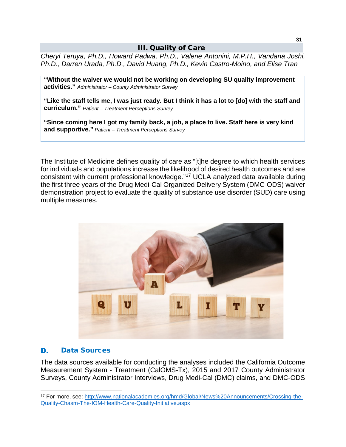# III. Quality of Care

<span id="page-33-0"></span>*Cheryl Teruya, Ph.D., Howard Padwa, Ph.D., Valerie Antonini, M.P.H., Vandana Joshi, Ph.D., Darren Urada, Ph.D., David Huang, Ph.D., Kevin Castro-Moino, and Elise Tran*

**"Without the waiver we would not be working on developing SU quality improvement activities."** *Administrator – County Administrator Survey*

**"Like the staff tells me, I was just ready. But I think it has a lot to [do] with the staff and curriculum."** *Patient – Treatment Perceptions Survey*

**"Since coming here I got my family back, a job, a place to live. Staff here is very kind and supportive."** *Patient – Treatment Perceptions Survey*

The Institute of Medicine defines quality of care as "[t]he degree to which health services for individuals and populations increase the likelihood of desired health outcomes and are consistent with current professional knowledge."[17](#page-33-2) UCLA analyzed data available during the first three years of the Drug Medi-Cal Organized Delivery System (DMC-ODS) waiver demonstration project to evaluate the quality of substance use disorder (SUD) care using multiple measures.



#### <span id="page-33-1"></span>D. Data Sources

The data sources available for conducting the analyses included the California Outcome Measurement System - Treatment (CalOMS-Tx), 2015 and 2017 County Administrator Surveys, County Administrator Interviews, Drug Medi-Cal (DMC) claims, and DMC-ODS

<span id="page-33-2"></span> <sup>17</sup> For more, see: [http://www.nationalacademies.org/hmd/Global/News%20Announcements/Crossing-the-](http://www.nationalacademies.org/hmd/Global/News%20Announcements/Crossing-the-Quality-Chasm-The-IOM-Health-Care-Quality-Initiative.aspx)[Quality-Chasm-The-IOM-Health-Care-Quality-Initiative.aspx](http://www.nationalacademies.org/hmd/Global/News%20Announcements/Crossing-the-Quality-Chasm-The-IOM-Health-Care-Quality-Initiative.aspx)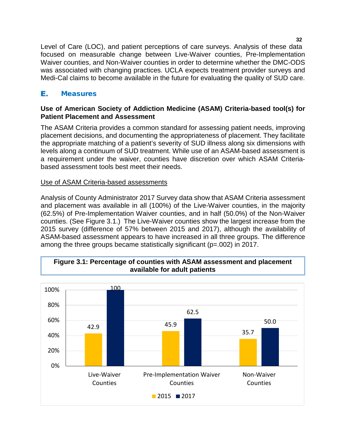Level of Care (LOC), and patient perceptions of care surveys. Analysis of these data focused on measurable change between Live-Waiver counties, Pre-Implementation Waiver counties, and Non-Waiver counties in order to determine whether the DMC-ODS was associated with changing practices. UCLA expects treatment provider surveys and Medi-Cal claims to become available in the future for evaluating the quality of SUD care.

## <span id="page-34-0"></span>Е. **Measures**

# **Use of American Society of Addiction Medicine (ASAM) Criteria-based tool(s) for Patient Placement and Assessment**

The ASAM Criteria provides a common standard for assessing patient needs, improving placement decisions, and documenting the appropriateness of placement. They facilitate the appropriate matching of a patient's severity of SUD illness along six dimensions with levels along a continuum of SUD treatment. While use of an ASAM-based assessment is a requirement under the waiver, counties have discretion over which ASAM Criteriabased assessment tools best meet their needs.

# Use of ASAM Criteria-based assessments

Analysis of County Administrator 2017 Survey data show that ASAM Criteria assessment and placement was available in all (100%) of the Live-Waiver counties, in the majority (62.5%) of Pre-Implementation Waiver counties, and in half (50.0%) of the Non-Waiver counties. (See Figure 3.1.) The Live-Waiver counties show the largest increase from the 2015 survey (difference of 57% between 2015 and 2017), although the availability of ASAM-based assessment appears to have increased in all three groups. The difference among the three groups became statistically significant (p=.002) in 2017.



# **Figure 3.1: Percentage of counties with ASAM assessment and placement available for adult patients**

**32**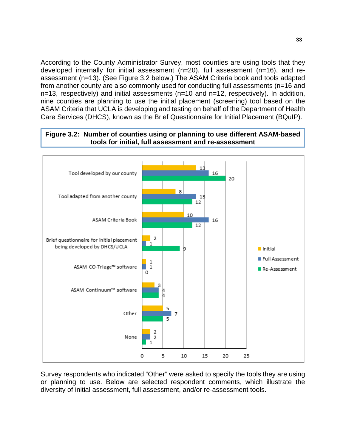According to the County Administrator Survey, most counties are using tools that they developed internally for initial assessment (n=20), full assessment (n=16), and reassessment (n=13). (See Figure 3.2 below.) The ASAM Criteria book and tools adapted from another county are also commonly used for conducting full assessments (n=16 and n=13, respectively) and initial assessments (n=10 and n=12, respectively). In addition, nine counties are planning to use the initial placement (screening) tool based on the ASAM Criteria that UCLA is developing and testing on behalf of the Department of Health Care Services (DHCS), known as the Brief Questionnaire for Initial Placement (BQuIP).

# **Figure 3.2: Number of counties using or planning to use different ASAM-based tools for initial, full assessment and re-assessment**



Survey respondents who indicated "Other" were asked to specify the tools they are using or planning to use. Below are selected respondent comments, which illustrate the diversity of initial assessment, full assessment, and/or re-assessment tools.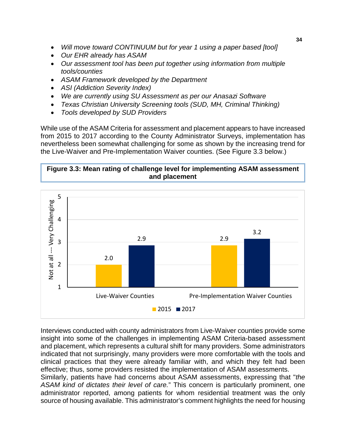- *Will move toward CONTINUUM but for year 1 using a paper based [tool]*
- *Our EHR already has ASAM*
- *Our assessment tool has been put together using information from multiple tools/counties*
- *ASAM Framework developed by the Department*
- *ASI (Addiction Severity Index)*
- *We are currently using SU Assessment as per our Anasazi Software*
- *Texas Christian University Screening tools (SUD, MH, Criminal Thinking)*
- *Tools developed by SUD Providers*

While use of the ASAM Criteria for assessment and placement appears to have increased from 2015 to 2017 according to the County Administrator Surveys, implementation has nevertheless been somewhat challenging for some as shown by the increasing trend for the Live-Waiver and Pre-Implementation Waiver counties. (See Figure 3.3 below.)

**Figure 3.3: Mean rating of challenge level for implementing ASAM assessment and placement**



Interviews conducted with county administrators from Live-Waiver counties provide some insight into some of the challenges in implementing ASAM Criteria-based assessment and placement, which represents a cultural shift for many providers. Some administrators indicated that not surprisingly, many providers were more comfortable with the tools and clinical practices that they were already familiar with, and which they felt had been effective; thus, some providers resisted the implementation of ASAM assessments. Similarly, patients have had concerns about ASAM assessments, expressing that "*the ASAM kind of dictates their level of care.*" This concern is particularly prominent, one administrator reported, among patients for whom residential treatment was the only source of housing available. This administrator's comment highlights the need for housing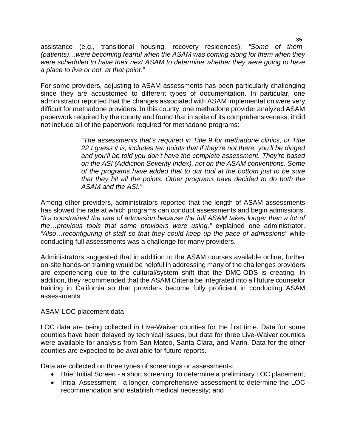assistance (e.g., transitional housing, recovery residences): *"Some of them (patients)…were becoming fearful when the ASAM was coming along for them when they were scheduled to have their next ASAM to determine whether they were going to have a place to live or not, at that point."*

For some providers, adjusting to ASAM assessments has been particularly challenging since they are accustomed to different types of documentation. In particular, one administrator reported that the changes associated with ASAM implementation were very difficult for methadone providers. In this county, one methadone provider analyzed ASAM paperwork required by the county and found that in spite of its comprehensiveness, it did not include all of the paperwork required for methadone programs:

> *"The assessments that's required in Title 9 for methadone clinics, or Title 22 I guess it is, includes ten points that if they're not there, you'll be dinged and you'll be told you don't have the complete assessment. They're based on the ASI (Addiction Severity Index), not on the ASAM conventions. Some of the programs have added that to our tool at the bottom just to be sure that they hit all the points. Other programs have decided to do both the ASAM and the ASI."*

Among other providers, administrators reported that the length of ASAM assessments has slowed the rate at which programs can conduct assessments and begin admissions. *"It's constrained the rate of admission because the full ASAM takes longer than a lot of the…previous tools that some providers were using,"* explained one administrator. *"Also…reconfiguring of staff so that they could keep up the pace of admissions"* while conducting full assessments was a challenge for many providers.

Administrators suggested that in addition to the ASAM courses available online, further on-site hands-on training would be helpful in addressing many of the challenges providers are experiencing due to the cultural/system shift that the DMC-ODS is creating. In addition, they recommended that the ASAM Criteria be integrated into all future counselor training in California so that providers become fully proficient in conducting ASAM assessments.

## ASAM LOC placement data

LOC data are being collected in Live-Waiver counties for the first time. Data for some counties have been delayed by technical issues, but data for three Live-Waiver counties were available for analysis from San Mateo, Santa Clara, and Marin. Data for the other counties are expected to be available for future reports.

Data are collected on three types of screenings or assessments:

- Brief Initial Screen a short screening to determine a preliminary LOC placement;
- Initial Assessment a longer, comprehensive assessment to determine the LOC recommendation and establish medical necessity; and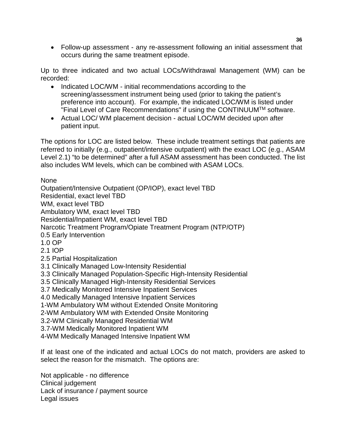• Follow-up assessment - any re-assessment following an initial assessment that occurs during the same treatment episode.

Up to three indicated and two actual LOCs/Withdrawal Management (WM) can be recorded:

- Indicated LOC/WM initial recommendations according to the screening/assessment instrument being used (prior to taking the patient's preference into account). For example, the indicated LOC/WM is listed under "Final Level of Care Recommendations" if using the CONTINUUMTM software.
- Actual LOC/ WM placement decision actual LOC/WM decided upon after patient input.

The options for LOC are listed below. These include treatment settings that patients are referred to initially (e.g., outpatient/intensive outpatient) with the exact LOC (e.g., ASAM Level 2.1) "to be determined" after a full ASAM assessment has been conducted. The list also includes WM levels, which can be combined with ASAM LOCs.

None

Outpatient/Intensive Outpatient (OP/IOP), exact level TBD

Residential, exact level TBD

WM, exact level TBD

Ambulatory WM, exact level TBD

Residential/Inpatient WM, exact level TBD

Narcotic Treatment Program/Opiate Treatment Program (NTP/OTP)

- 0.5 Early Intervention
- 1.0 OP
- 2.1 IOP
- 2.5 Partial Hospitalization
- 3.1 Clinically Managed Low-Intensity Residential
- 3.3 Clinically Managed Population-Specific High-Intensity Residential
- 3.5 Clinically Managed High-Intensity Residential Services
- 3.7 Medically Monitored Intensive Inpatient Services
- 4.0 Medically Managed Intensive Inpatient Services
- 1-WM Ambulatory WM without Extended Onsite Monitoring
- 2-WM Ambulatory WM with Extended Onsite Monitoring
- 3.2-WM Clinically Managed Residential WM
- 3.7-WM Medically Monitored Inpatient WM
- 4-WM Medically Managed Intensive Inpatient WM

If at least one of the indicated and actual LOCs do not match, providers are asked to select the reason for the mismatch. The options are:

Not applicable - no difference Clinical judgement Lack of insurance / payment source Legal issues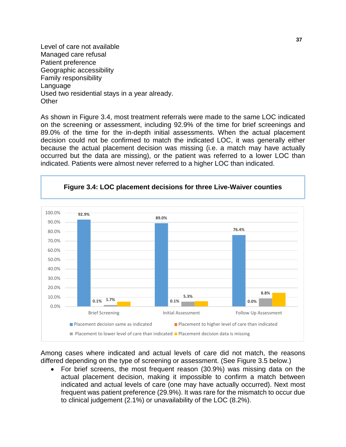Level of care not available Managed care refusal Patient preference Geographic accessibility Family responsibility Language Used two residential stays in a year already. **Other** 

As shown in Figure 3.4, most treatment referrals were made to the same LOC indicated on the screening or assessment, including 92.9% of the time for brief screenings and 89.0% of the time for the in-depth initial assessments. When the actual placement decision could not be confirmed to match the indicated LOC, it was generally either because the actual placement decision was missing (i.e. a match may have actually occurred but the data are missing), or the patient was referred to a lower LOC than indicated. Patients were almost never referred to a higher LOC than indicated.



Among cases where indicated and actual levels of care did not match, the reasons differed depending on the type of screening or assessment. (See Figure 3.5 below.)

• For brief screens, the most frequent reason (30.9%) was missing data on the actual placement decision, making it impossible to confirm a match between indicated and actual levels of care (one may have actually occurred). Next most frequent was patient preference (29.9%). It was rare for the mismatch to occur due to clinical judgement (2.1%) or unavailability of the LOC (8.2%).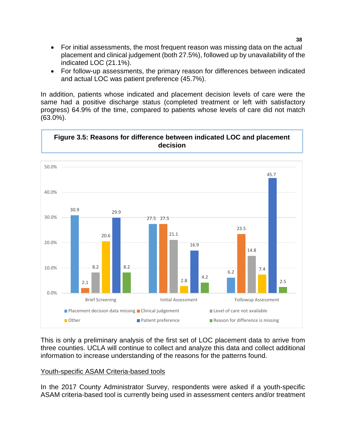- For initial assessments, the most frequent reason was missing data on the actual placement and clinical judgement (both 27.5%), followed up by unavailability of the indicated LOC (21.1%).
- For follow-up assessments, the primary reason for differences between indicated and actual LOC was patient preference (45.7%).

In addition, patients whose indicated and placement decision levels of care were the same had a positive discharge status (completed treatment or left with satisfactory progress) 64.9% of the time, compared to patients whose levels of care did not match (63.0%).



This is only a preliminary analysis of the first set of LOC placement data to arrive from three counties. UCLA will continue to collect and analyze this data and collect additional information to increase understanding of the reasons for the patterns found.

## Youth-specific ASAM Criteria-based tools

In the 2017 County Administrator Survey, respondents were asked if a youth-specific ASAM criteria-based tool is currently being used in assessment centers and/or treatment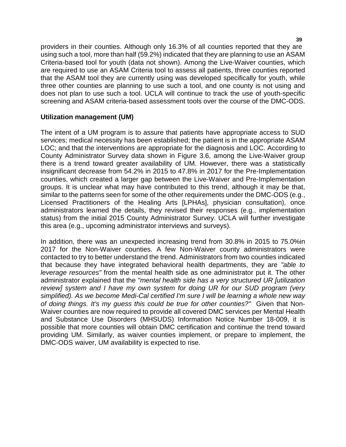providers in their counties. Although only 16.3% of all counties reported that they are using such a tool, more than half (59.2%) indicated that they are planning to use an ASAM Criteria-based tool for youth (data not shown). Among the Live-Waiver counties, which are required to use an ASAM Criteria tool to assess all patients, three counties reported that the ASAM tool they are currently using was developed specifically for youth, while three other counties are planning to use such a tool, and one county is not using and does not plan to use such a tool. UCLA will continue to track the use of youth-specific screening and ASAM criteria-based assessment tools over the course of the DMC-ODS.

## **Utilization management (UM)**

The intent of a UM program is to assure that patients have appropriate access to SUD services; medical necessity has been established; the patient is in the appropriate ASAM LOC; and that the interventions are appropriate for the diagnosis and LOC. According to County Administrator Survey data shown in Figure 3.6, among the Live-Waiver group there is a trend toward greater availability of UM. However, there was a statistically insignificant decrease from 54.2% in 2015 to 47.8% in 2017 for the Pre-Implementation counties, which created a larger gap between the Live-Waiver and Pre-Implementation groups. It is unclear what may have contributed to this trend, although it may be that, similar to the patterns seen for some of the other requirements under the DMC-ODS (e.g., Licensed Practitioners of the Healing Arts [LPHAs], physician consultation), once administrators learned the details, they revised their responses (e.g., implementation status) from the initial 2015 County Administrator Survey. UCLA will further investigate this area (e.g., upcoming administrator interviews and surveys).

In addition, there was an unexpected increasing trend from 30.8% in 2015 to 75.0%in 2017 for the Non-Waiver counties. A few Non-Waiver county administrators were contacted to try to better understand the trend. Administrators from two counties indicated that because they have integrated behavioral health departments, they are *"able to leverage resources"* from the mental health side as one administrator put it. The other administrator explained that the *"mental health side has a very structured UR [utilization review] system and I have my own system for doing UR for our SUD program (very simplified). As we become Medi-Cal certified I'm sure I will be learning a whole new way of doing things. It's my guess this could be true for other counties?"* Given that Non-Waiver counties are now required to provide all covered DMC services per Mental Health and Substance Use Disorders (MHSUDS) Information Notice Number 18-009, it is possible that more counties will obtain DMC certification and continue the trend toward providing UM. Similarly, as waiver counties implement, or prepare to implement, the DMC-ODS waiver, UM availability is expected to rise.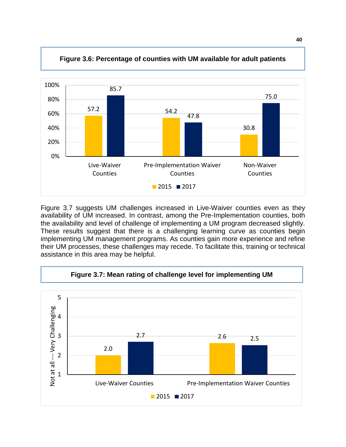

**Figure 3.6: Percentage of counties with UM available for adult patients**

Figure 3.7 suggests UM challenges increased in Live-Waiver counties even as they availability of UM increased. In contrast, among the Pre-Implementation counties, both the availability and level of challenge of implementing a UM program decreased slightly. These results suggest that there is a challenging learning curve as counties begin implementing UM management programs. As counties gain more experience and refine their UM processes, these challenges may recede. To facilitate this, training or technical assistance in this area may be helpful.



**40**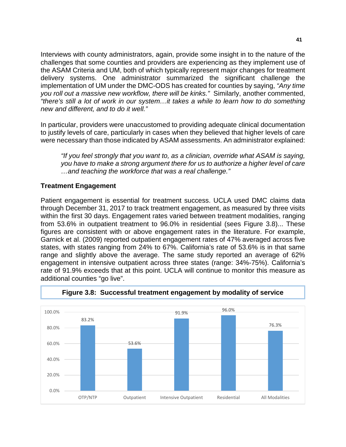Interviews with county administrators, again, provide some insight in to the nature of the challenges that some counties and providers are experiencing as they implement use of the ASAM Criteria and UM, both of which typically represent major changes for treatment delivery systems. One administrator summarized the significant challenge the implementation of UM under the DMC-ODS has created for counties by saying, *"Any time you roll out a massive new workflow, there will be kinks."* Similarly, another commented, *"there's still a lot of work in our system…it takes a while to learn how to do something new and different, and to do it well."* 

In particular, providers were unaccustomed to providing adequate clinical documentation to justify levels of care, particularly in cases when they believed that higher levels of care were necessary than those indicated by ASAM assessments. An administrator explained:

*"If you feel strongly that you want to, as a clinician, override what ASAM is saying, you have to make a strong argument there for us to authorize a higher level of care …and teaching the workforce that was a real challenge."*

# **Treatment Engagement**

Patient engagement is essential for treatment success. UCLA used DMC claims data through December 31, 2017 to track treatment engagement, as measured by three visits within the first 30 days. Engagement rates varied between treatment modalities, ranging from 53.6% in outpatient treatment to 96.0% in residential (sees Figure 3.8)... These figures are consistent with or above engagement rates in the literature. For example, Garnick et al. (2009) reported outpatient engagement rates of 47% averaged across five states, with states ranging from 24% to 67%. California's rate of 53.6% is in that same range and slightly above the average. The same study reported an average of 62% engagement in intensive outpatient across three states (range: 34%-75%). California's rate of 91.9% exceeds that at this point. UCLA will continue to monitor this measure as additional counties "go live".



**Figure 3.8: Successful treatment engagement by modality of service**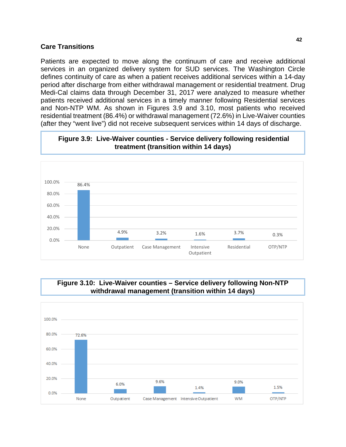#### **Care Transitions**

Patients are expected to move along the continuum of care and receive additional services in an organized delivery system for SUD services. The Washington Circle defines continuity of care as when a patient receives additional services within a 14-day period after discharge from either withdrawal management or residential treatment. Drug Medi-Cal claims data through December 31, 2017 were analyzed to measure whether patients received additional services in a timely manner following Residential services and Non-NTP WM. As shown in Figures 3.9 and 3.10, most patients who received residential treatment (86.4%) or withdrawal management (72.6%) in Live-Waiver counties (after they "went live") did not receive subsequent services within 14 days of discharge.



#### **Figure 3.9: Live-Waiver counties - Service delivery following residential treatment (transition within 14 days)**

## **Figure 3.10: Live-Waiver counties – Service delivery following Non-NTP withdrawal management (transition within 14 days)**

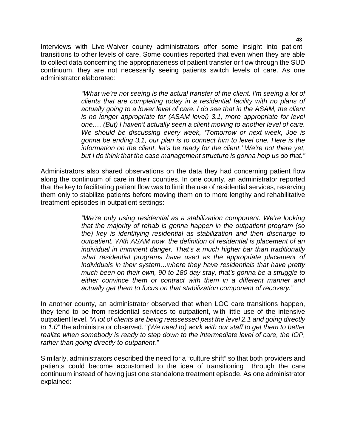Interviews with Live-Waiver county administrators offer some insight into patient transitions to other levels of care. Some counties reported that even when they are able to collect data concerning the appropriateness of patient transfer or flow through the SUD continuum, they are not necessarily seeing patients switch levels of care. As one administrator elaborated:

> *"What we're not seeing is the actual transfer of the client. I'm seeing a lot of clients that are completing today in a residential facility with no plans of actually going to a lower level of care. I do see that in the ASAM, the client is no longer appropriate for (ASAM level) 3.1, more appropriate for level one…. (But) I haven't actually seen a client moving to another level of care. We should be discussing every week, 'Tomorrow or next week, Joe is gonna be ending 3.1, our plan is to connect him to level one. Here is the information on the client, let's be ready for the client.' We're not there yet, but I do think that the case management structure is gonna help us do that."*

Administrators also shared observations on the data they had concerning patient flow along the continuum of care in their counties. In one county, an administrator reported that the key to facilitating patient flow was to limit the use of residential services, reserving them only to stabilize patients before moving them on to more lengthy and rehabilitative treatment episodes in outpatient settings:

> *"We're only using residential as a stabilization component. We're looking that the majority of rehab is gonna happen in the outpatient program (so the) key is identifying residential as stabilization and then discharge to outpatient. With ASAM now, the definition of residential is placement of an individual in imminent danger. That's a much higher bar than traditionally what residential programs have used as the appropriate placement of individuals in their system…where they have residentials that have pretty much been on their own, 90-to-180 day stay, that's gonna be a struggle to either convince them or contract with them in a different manner and actually get them to focus on that stabilization component of recovery."*

In another county, an administrator observed that when LOC care transitions happen, they tend to be from residential services to outpatient, with little use of the intensive outpatient level. *"A lot of clients are being reassessed past the level 2.1 and going directly to 1.0"* the administrator observed. "*(We need to) work with our staff to get them to better realize when somebody is ready to step down to the intermediate level of care, the IOP, rather than going directly to outpatient."* 

Similarly, administrators described the need for a "culture shift" so that both providers and patients could become accustomed to the idea of transitioning through the care continuum instead of having just one standalone treatment episode. As one administrator explained: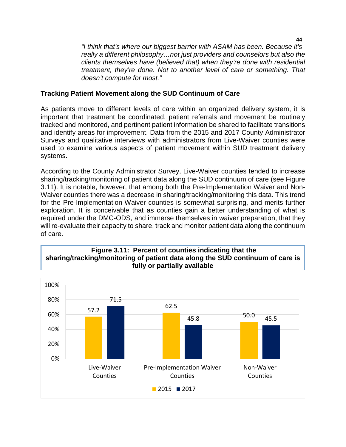*"I think that's where our biggest barrier with ASAM has been. Because it's really a different philosophy…not just providers and counselors but also the clients themselves have (believed that) when they're done with residential treatment, they're done. Not to another level of care or something. That doesn't compute for most."*

## **Tracking Patient Movement along the SUD Continuum of Care**

As patients move to different levels of care within an organized delivery system, it is important that treatment be coordinated, patient referrals and movement be routinely tracked and monitored, and pertinent patient information be shared to facilitate transitions and identify areas for improvement. Data from the 2015 and 2017 County Administrator Surveys and qualitative interviews with administrators from Live-Waiver counties were used to examine various aspects of patient movement within SUD treatment delivery systems.

According to the County Administrator Survey, Live-Waiver counties tended to increase sharing/tracking/monitoring of patient data along the SUD continuum of care (see Figure 3.11). It is notable, however, that among both the Pre-Implementation Waiver and Non-Waiver counties there was a decrease in sharing/tracking/monitoring this data. This trend for the Pre-Implementation Waiver counties is somewhat surprising, and merits further exploration. It is conceivable that as counties gain a better understanding of what is required under the DMC-ODS, and immerse themselves in waiver preparation, that they will re-evaluate their capacity to share, track and monitor patient data along the continuum of care.

## **Figure 3.11: Percent of counties indicating that the sharing/tracking/monitoring of patient data along the SUD continuum of care is fully or partially available**

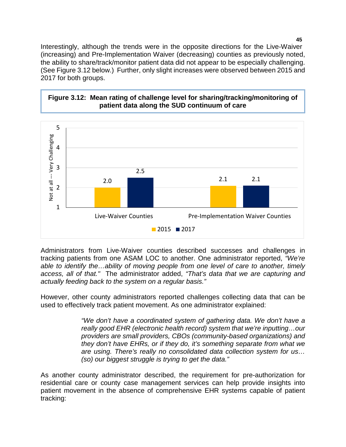Interestingly, although the trends were in the opposite directions for the Live-Waiver (increasing) and Pre-Implementation Waiver (decreasing) counties as previously noted, the ability to share/track/monitor patient data did not appear to be especially challenging. (See Figure 3.12 below.) Further, only slight increases were observed between 2015 and 2017 for both groups.



## **Figure 3.12: Mean rating of challenge level for sharing/tracking/monitoring of patient data along the SUD continuum of care**

Administrators from Live-Waiver counties described successes and challenges in tracking patients from one ASAM LOC to another. One administrator reported, *"We're able to identify the…ability of moving people from one level of care to another, timely access, all of that."* The administrator added, *"That's data that we are capturing and actually feeding back to the system on a regular basis."* 

However, other county administrators reported challenges collecting data that can be used to effectively track patient movement. As one administrator explained:

> *"We don't have a coordinated system of gathering data. We don't have a really good EHR (electronic health record) system that we're inputting…our providers are small providers, CBOs (community-based organizations) and they don't have EHRs, or if they do, it's something separate from what we are using. There's really no consolidated data collection system for us… (so) our biggest struggle is trying to get the data."*

As another county administrator described, the requirement for pre-authorization for residential care or county case management services can help provide insights into patient movement in the absence of comprehensive EHR systems capable of patient tracking: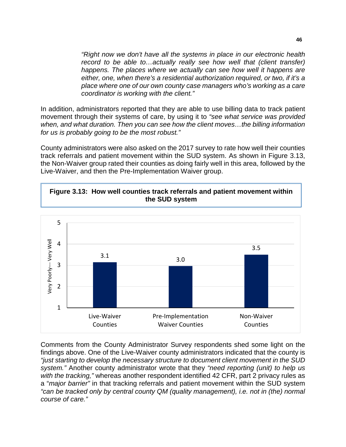*"Right now we don't have all the systems in place in our electronic health*  record to be able to...actually really see how well that (client transfer) *happens. The places where we actually can see how well it happens are either, one, when there's a residential authorization required, or two, if it's a place where one of our own county case managers who's working as a care coordinator is working with the client."*

In addition, administrators reported that they are able to use billing data to track patient movement through their systems of care, by using it to *"see what service was provided when, and what duration. Then you can see how the client moves…the billing information for us is probably going to be the most robust."*

County administrators were also asked on the 2017 survey to rate how well their counties track referrals and patient movement within the SUD system. As shown in Figure 3.13, the Non-Waiver group rated their counties as doing fairly well in this area, followed by the Live-Waiver, and then the Pre-Implementation Waiver group.





Comments from the County Administrator Survey respondents shed some light on the findings above. One of the Live-Waiver county administrators indicated that the county is *"just starting to develop the necessary structure to document client movement in the SUD system."* Another county administrator wrote that they *"need reporting (unit) to help us with the tracking,"* whereas another respondent identified 42 CFR, part 2 privacy rules as a "*major barrier"* in that tracking referrals and patient movement within the SUD system *"can be tracked only by central county QM (quality management), i.e. not in (the) normal course of care."*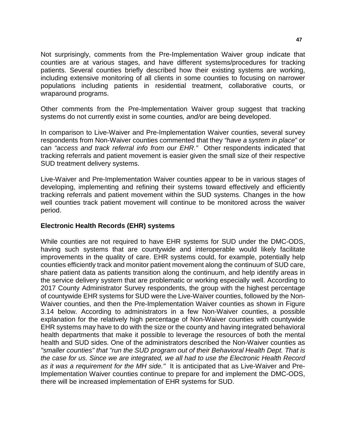Not surprisingly, comments from the Pre-Implementation Waiver group indicate that counties are at various stages, and have different systems/procedures for tracking patients. Several counties briefly described how their existing systems are working, including extensive monitoring of all clients in some counties to focusing on narrower populations including patients in residential treatment, collaborative courts, or wraparound programs.

Other comments from the Pre-Implementation Waiver group suggest that tracking systems do not currently exist in some counties*, and/*or are being developed.

In comparison to Live-Waiver and Pre-Implementation Waiver counties, several survey respondents from Non-Waiver counties commented that they *"have a system in place*" or can *"access and track referral info from our EHR."* Other respondents indicated that tracking referrals and patient movement is easier given the small size of their respective SUD treatment delivery systems.

Live-Waiver and Pre-Implementation Waiver counties appear to be in various stages of developing, implementing and refining their systems toward effectively and efficiently tracking referrals and patient movement within the SUD systems. Changes in the how well counties track patient movement will continue to be monitored across the waiver period.

## **Electronic Health Records (EHR) systems**

While counties are not required to have EHR systems for SUD under the DMC-ODS, having such systems that are countywide and interoperable would likely facilitate improvements in the quality of care. EHR systems could, for example, potentially help counties efficiently track and monitor patient movement along the continuum of SUD care, share patient data as patients transition along the continuum, and help identify areas in the service delivery system that are problematic or working especially well. According to 2017 County Administrator Survey respondents, the group with the highest percentage of countywide EHR systems for SUD were the Live-Waiver counties, followed by the Non-Waiver counties, and then the Pre-Implementation Waiver counties as shown in Figure 3.14 below. According to administrators in a few Non-Waiver counties, a possible explanation for the relatively high percentage of Non-Waiver counties with countywide EHR systems may have to do with the size or the county and having integrated behavioral health departments that make it possible to leverage the resources of both the mental health and SUD sides. One of the administrators described the Non-Waiver counties as *"smaller counties" that "run the SUD program out of their Behavioral Health Dept. That is the case for us. Since we are integrated, we all had to use the Electronic Health Record as it was a requirement for the MH side."* It is anticipated that as Live-Waiver and Pre-Implementation Waiver counties continue to prepare for and implement the DMC-ODS, there will be increased implementation of EHR systems for SUD.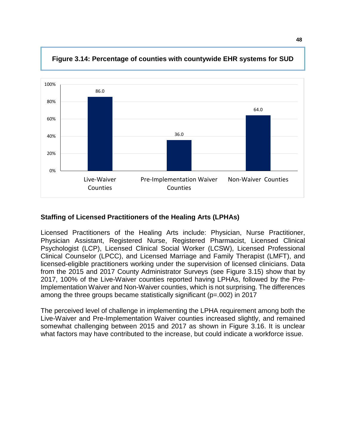

**Figure 3.14: Percentage of counties with countywide EHR systems for SUD** 

# **Staffing of Licensed Practitioners of the Healing Arts (LPHAs)**

Licensed Practitioners of the Healing Arts include: Physician, Nurse Practitioner, Physician Assistant, Registered Nurse, Registered Pharmacist, Licensed Clinical Psychologist (LCP), Licensed Clinical Social Worker (LCSW), Licensed Professional Clinical Counselor (LPCC), and Licensed Marriage and Family Therapist (LMFT), and licensed-eligible practitioners working under the supervision of licensed clinicians. Data from the 2015 and 2017 County Administrator Surveys (see Figure 3.15) show that by 2017, 100% of the Live-Waiver counties reported having LPHAs, followed by the Pre-Implementation Waiver and Non-Waiver counties, which is not surprising. The differences among the three groups became statistically significant (p=.002) in 2017

The perceived level of challenge in implementing the LPHA requirement among both the Live-Waiver and Pre-Implementation Waiver counties increased slightly, and remained somewhat challenging between 2015 and 2017 as shown in Figure 3.16. It is unclear what factors may have contributed to the increase, but could indicate a workforce issue.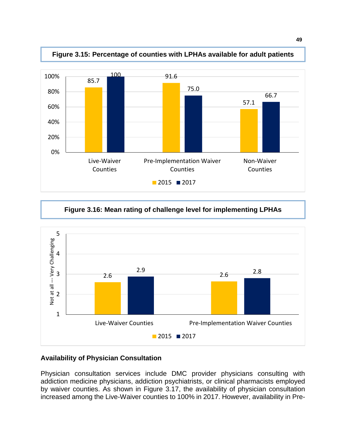

**Figure 3.15: Percentage of counties with LPHAs available for adult patients**

**Figure 3.16: Mean rating of challenge level for implementing LPHAs**



## **Availability of Physician Consultation**

Physician consultation services include DMC provider physicians consulting with addiction medicine physicians, addiction psychiatrists, or clinical pharmacists employed by waiver counties. As shown in Figure 3.17, the availability of physician consultation increased among the Live-Waiver counties to 100% in 2017. However, availability in Pre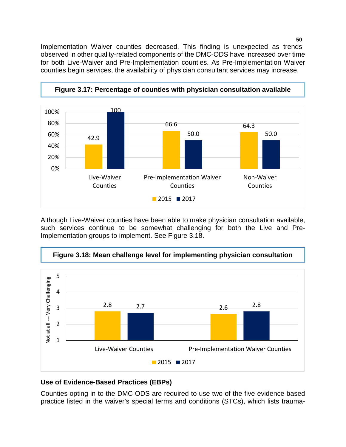Implementation Waiver counties decreased. This finding is unexpected as trends observed in other quality-related components of the DMC-ODS have increased over time for both Live-Waiver and Pre-Implementation counties. As Pre-Implementation Waiver counties begin services, the availability of physician consultant services may increase.



Although Live-Waiver counties have been able to make physician consultation available, such services continue to be somewhat challenging for both the Live and Pre-Implementation groups to implement. See Figure 3.18.



# **Figure 3.18: Mean challenge level for implementing physician consultation**

## **Use of Evidence-Based Practices (EBPs)**

Counties opting in to the DMC-ODS are required to use two of the five evidence-based practice listed in the waiver's special terms and conditions (STCs), which lists trauma-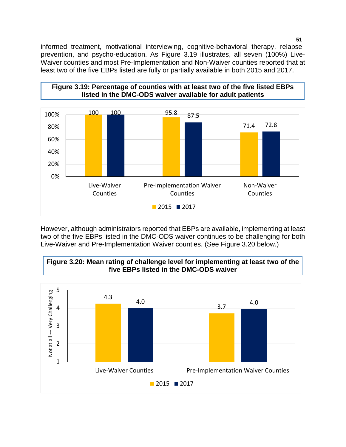informed treatment, motivational interviewing, cognitive-behavioral therapy, relapse prevention, and psycho-education. As Figure 3.19 illustrates, all seven (100%) Live-Waiver counties and most Pre-Implementation and Non-Waiver counties reported that at least two of the five EBPs listed are fully or partially available in both 2015 and 2017.



However, although administrators reported that EBPs are available, implementing at least two of the five EBPs listed in the DMC-ODS waiver continues to be challenging for both Live-Waiver and Pre-Implementation Waiver counties. (See Figure 3.20 below.)



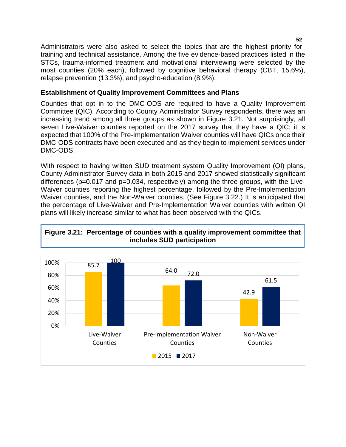Administrators were also asked to select the topics that are the highest priority for training and technical assistance. Among the five evidence-based practices listed in the STCs, trauma-informed treatment and motivational interviewing were selected by the most counties (20% each), followed by cognitive behavioral therapy (CBT, 15.6%), relapse prevention (13.3%), and psycho-education (8.9%).

## **Establishment of Quality Improvement Committees and Plans**

Counties that opt in to the DMC-ODS are required to have a Quality Improvement Committee (QIC). According to County Administrator Survey respondents, there was an increasing trend among all three groups as shown in Figure 3.21. Not surprisingly, all seven Live-Waiver counties reported on the 2017 survey that they have a QIC; it is expected that 100% of the Pre-Implementation Waiver counties will have QICs once their DMC-ODS contracts have been executed and as they begin to implement services under DMC-ODS.

With respect to having written SUD treatment system Quality Improvement (QI) plans, County Administrator Survey data in both 2015 and 2017 showed statistically significant differences (p=0.017 and p=0.034, respectively) among the three groups, with the Live-Waiver counties reporting the highest percentage, followed by the Pre-Implementation Waiver counties, and the Non-Waiver counties. (See Figure 3.22.) It is anticipated that the percentage of Live-Waiver and Pre-Implementation Waiver counties with written QI plans will likely increase similar to what has been observed with the QICs.



## **Figure 3.21: Percentage of counties with a quality improvement committee that includes SUD participation**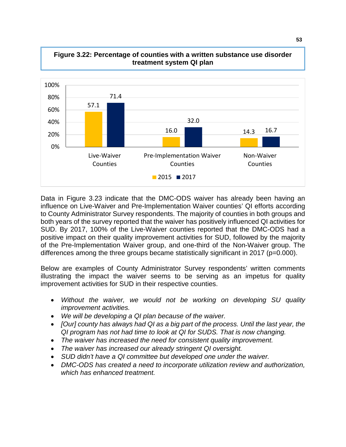

#### **Figure 3.22: Percentage of counties with a written substance use disorder treatment system QI plan**

Data in Figure 3.23 indicate that the DMC-ODS waiver has already been having an influence on Live-Waiver and Pre-Implementation Waiver counties' QI efforts according to County Administrator Survey respondents. The majority of counties in both groups and both years of the survey reported that the waiver has positively influenced QI activities for SUD. By 2017, 100% of the Live-Waiver counties reported that the DMC-ODS had a positive impact on their quality improvement activities for SUD, followed by the majority of the Pre-Implementation Waiver group, and one-third of the Non-Waiver group. The differences among the three groups became statistically significant in 2017 (p=0.000).

Below are examples of County Administrator Survey respondents' written comments illustrating the impact the waiver seems to be serving as an impetus for quality improvement activities for SUD in their respective counties.

- *Without the waiver, we would not be working on developing SU quality improvement activities.*
- *We will be developing a QI plan because of the waiver.*
- *[Our] county has always had QI as a big part of the process. Until the last year, the QI program has not had time to look at QI for SUDS. That is now changing.*
- *The waiver has increased the need for consistent quality improvement.*
- *The waiver has increased our already stringent QI oversight.*
- *SUD didn't have a QI committee but developed one under the waiver.*
- *DMC-ODS has created a need to incorporate utilization review and authorization, which has enhanced treatment.*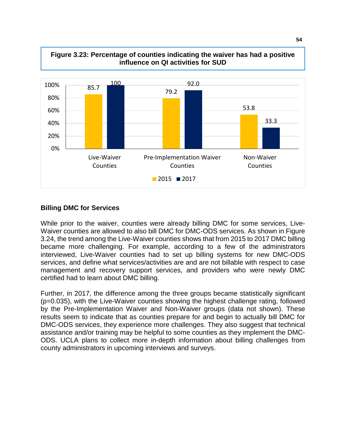

# **Figure 3.23: Percentage of counties indicating the waiver has had a positive**

## **Billing DMC for Services**

While prior to the waiver, counties were already billing DMC for some services, Live-Waiver counties are allowed to also bill DMC for DMC-ODS services. As shown in Figure 3.24, the trend among the Live-Waiver counties shows that from 2015 to 2017 DMC billing became more challenging. For example, according to a few of the administrators interviewed, Live-Waiver counties had to set up billing systems for new DMC-ODS services, and define what services/activities are and are not billable with respect to case management and recovery support services, and providers who were newly DMC certified had to learn about DMC billing.

Further, in 2017, the difference among the three groups became statistically significant (p=0.035), with the Live-Waiver counties showing the highest challenge rating, followed by the Pre-Implementation Waiver and Non-Waiver groups (data not shown). These results seem to indicate that as counties prepare for and begin to actually bill DMC for DMC-ODS services, they experience more challenges. They also suggest that technical assistance and/or training may be helpful to some counties as they implement the DMC-ODS. UCLA plans to collect more in-depth information about billing challenges from county administrators in upcoming interviews and surveys.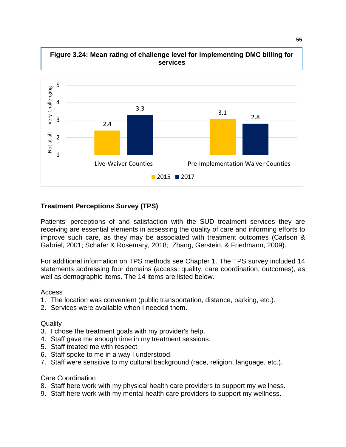

**Figure 3.24: Mean rating of challenge level for implementing DMC billing for services**

## **Treatment Perceptions Survey (TPS)**

Patients' perceptions of and satisfaction with the SUD treatment services they are receiving are essential elements in assessing the quality of care and informing efforts to improve such care, as they may be associated with treatment outcomes (Carlson & Gabriel, 2001; Schafer & Rosemary, 2018; Zhang, Gerstein, & Friedmann, 2009).

For additional information on TPS methods see Chapter 1. The TPS survey included 14 statements addressing four domains (access, quality, care coordination, outcomes), as well as demographic items. The 14 items are listed below.

#### Access

- 1. The location was convenient (public transportation, distance, parking, etc.).
- 2. Services were available when I needed them.

#### **Quality**

- 3. I chose the treatment goals with my provider's help.
- 4. Staff gave me enough time in my treatment sessions.
- 5. Staff treated me with respect.
- 6. Staff spoke to me in a way I understood.
- 7. Staff were sensitive to my cultural background (race, religion, language, etc.).

#### Care Coordination

- 8. Staff here work with my physical health care providers to support my wellness.
- 9. Staff here work with my mental health care providers to support my wellness.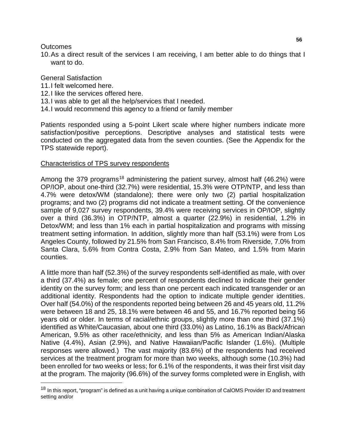## **Outcomes**

10.As a direct result of the services I am receiving, I am better able to do things that I want to do.

## General Satisfaction

- 11.I felt welcomed here.
- 12.I like the services offered here.
- 13.I was able to get all the help/services that I needed.
- 14.I would recommend this agency to a friend or family member

Patients responded using a 5-point Likert scale where higher numbers indicate more satisfaction/positive perceptions. Descriptive analyses and statistical tests were conducted on the aggregated data from the seven counties. (See the Appendix for the TPS statewide report).

#### Characteristics of TPS survey respondents

Among the 379 programs<sup>[18](#page-58-0)</sup> administering the patient survey, almost half (46.2%) were OP/IOP, about one-third (32.7%) were residential, 15.3% were OTP/NTP, and less than 4.7% were detox/WM (standalone); there were only two (2) partial hospitalization programs; and two (2) programs did not indicate a treatment setting. Of the convenience sample of 9,027 survey respondents, 39.4% were receiving services in OP/IOP, slightly over a third (36.3%) in OTP/NTP, almost a quarter (22.9%) in residential, 1.2% in Detox/WM; and less than 1% each in partial hospitalization and programs with missing treatment setting information. In addition, slightly more than half (53.1%) were from Los Angeles County, followed by 21.5% from San Francisco, 8.4% from Riverside, 7.0% from Santa Clara, 5.6% from Contra Costa, 2.9% from San Mateo, and 1.5% from Marin counties.

A little more than half (52.3%) of the survey respondents self-identified as male, with over a third (37.4%) as female; one percent of respondents declined to indicate their gender identity on the survey form; and less than one percent each indicated transgender or an additional identity. Respondents had the option to indicate multiple gender identities. Over half (54.0%) of the respondents reported being between 26 and 45 years old, 11.2% were between 18 and 25, 18.1% were between 46 and 55, and 16.7% reported being 56 years old or older. In terms of racial/ethnic groups, slightly more than one third (37.1%) identified as White/Caucasian, about one third (33.0%) as Latino, 16.1% as Back/African American, 9.5% as other race/ethnicity, and less than 5% as American Indian/Alaska Native (4.4%), Asian (2.9%), and Native Hawaiian/Pacific Islander (1.6%). (Multiple responses were allowed.) The vast majority (83.6%) of the respondents had received services at the treatment program for more than two weeks, although some (10.3%) had been enrolled for two weeks or less; for 6.1% of the respondents, it was their first visit day at the program. The majority (96.6%) of the survey forms completed were in English, with

<span id="page-58-0"></span><sup>&</sup>lt;sup>18</sup> In this report, "program" is defined as a unit having a unique combination of CalOMS Provider ID and treatment setting and/or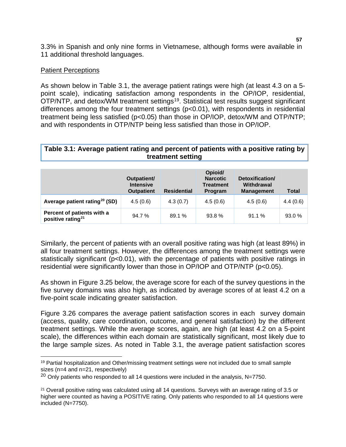3.3% in Spanish and only nine forms in Vietnamese, although forms were available in 11 additional threshold languages.

#### **Patient Perceptions**

As shown below in Table 3.1, the average patient ratings were high (at least 4.3 on a 5 point scale), indicating satisfaction among respondents in the OP/IOP, residential, OTP/NTP, and detox/WM treatment settings<sup>[19](#page-59-0)</sup>. Statistical test results suggest significant differences among the four treatment settings (p<0.01), with respondents in residential treatment being less satisfied (p<0.05) than those in OP/IOP, detox/WM and OTP/NTP; and with respondents in OTP/NTP being less satisfied than those in OP/IOP.

## **Table 3.1: Average patient rating and percent of patients with a positive rating by treatment setting**

|                                                             | Outpatient/<br><b>Intensive</b><br><b>Outpatient</b> | <b>Residential</b> | Opioid/<br><b>Narcotic</b><br><b>Treatment</b><br>Program | Detoxification/<br>Withdrawal<br><b>Management</b> | <b>Total</b> |
|-------------------------------------------------------------|------------------------------------------------------|--------------------|-----------------------------------------------------------|----------------------------------------------------|--------------|
| Average patient rating <sup>20</sup> (SD)                   | 4.5(0.6)                                             | 4.3(0.7)           | 4.5(0.6)                                                  | 4.5(0.6)                                           | 4.4(0.6)     |
| Percent of patients with a<br>positive rating <sup>21</sup> | 94.7%                                                | 89.1 %             | 93.8%                                                     | 91.1%                                              | 93.0 %       |

Similarly, the percent of patients with an overall positive rating was high (at least 89%) in all four treatment settings. However, the differences among the treatment settings were statistically significant (p<0.01), with the percentage of patients with positive ratings in residential were significantly lower than those in OP/IOP and OTP/NTP (p<0.05).

As shown in Figure 3.25 below, the average score for each of the survey questions in the five survey domains was also high, as indicated by average scores of at least 4.2 on a five-point scale indicating greater satisfaction.

Figure 3.26 compares the average patient satisfaction scores in each survey domain (access, quality, care coordination, outcome, and general satisfaction) by the different treatment settings. While the average scores, again, are high (at least 4.2 on a 5-point scale), the differences within each domain are statistically significant, most likely due to the large sample sizes. As noted in Table 3.1, the average patient satisfaction scores

<span id="page-59-0"></span><sup>19</sup> Partial hospitalization and Other/missing treatment settings were not included due to small sample sizes (n=4 and n=21, respectively)

<span id="page-59-1"></span> $20$  Only patients who responded to all 14 questions were included in the analysis, N=7750.

<span id="page-59-2"></span><sup>&</sup>lt;sup>21</sup> Overall positive rating was calculated using all 14 questions. Surveys with an average rating of 3.5 or higher were counted as having a POSITIVE rating. Only patients who responded to all 14 questions were included (N=7750).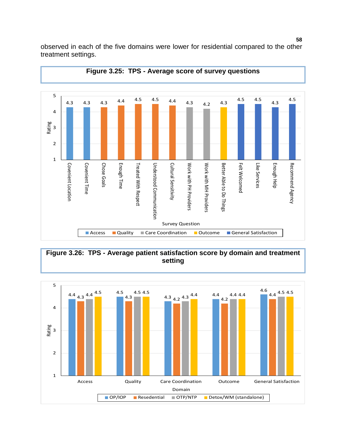

observed in each of the five domains were lower for residential compared to the other treatment settings.



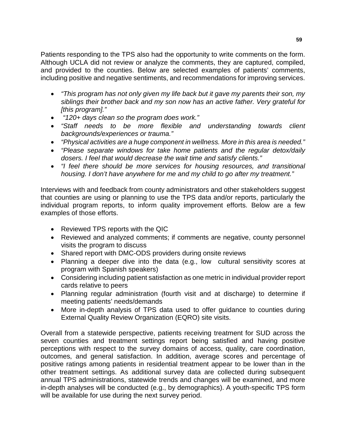Patients responding to the TPS also had the opportunity to write comments on the form. Although UCLA did not review or analyze the comments, they are captured, compiled, and provided to the counties. Below are selected examples of patients' comments, including positive and negative sentiments, and recommendations for improving services.

- *"This program has not only given my life back but it gave my parents their son, my siblings their brother back and my son now has an active father. Very grateful for [this program]."*
- *"120+ days clean so the program does work."*
- *"Staff needs to be more flexible and understanding towards client backgrounds/experiences or trauma."*
- *"Physical activities are a huge component in wellness. More in this area is needed."*
- *"Please separate windows for take home patients and the regular detox/daily dosers. I feel that would decrease the wait time and satisfy clients."*
- *"I feel there should be more services for housing resources, and transitional housing. I don't have anywhere for me and my child to go after my treatment."*

Interviews with and feedback from county administrators and other stakeholders suggest that counties are using or planning to use the TPS data and/or reports, particularly the individual program reports, to inform quality improvement efforts. Below are a few examples of those efforts.

- Reviewed TPS reports with the QIC
- Reviewed and analyzed comments; if comments are negative, county personnel visits the program to discuss
- Shared report with DMC-ODS providers during onsite reviews
- Planning a deeper dive into the data (e.g., low cultural sensitivity scores at program with Spanish speakers)
- Considering including patient satisfaction as one metric in individual provider report cards relative to peers
- Planning regular administration (fourth visit and at discharge) to determine if meeting patients' needs/demands
- More in-depth analysis of TPS data used to offer guidance to counties during External Quality Review Organization (EQRO) site visits.

Overall from a statewide perspective, patients receiving treatment for SUD across the seven counties and treatment settings report being satisfied and having positive perceptions with respect to the survey domains of access, quality, care coordination, outcomes, and general satisfaction. In addition, average scores and percentage of positive ratings among patients in residential treatment appear to be lower than in the other treatment settings. As additional survey data are collected during subsequent annual TPS administrations, statewide trends and changes will be examined, and more in-depth analyses will be conducted (e.g., by demographics). A youth-specific TPS form will be available for use during the next survey period.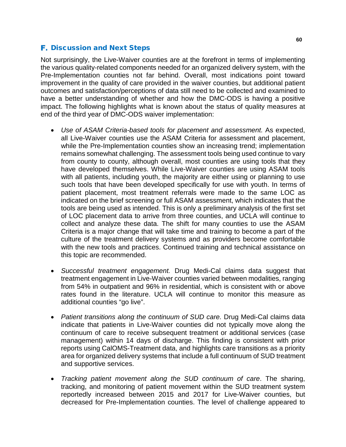# **F.** Discussion and Next Steps

Not surprisingly, the Live-Waiver counties are at the forefront in terms of implementing the various quality-related components needed for an organized delivery system, with the Pre-Implementation counties not far behind. Overall, most indications point toward improvement in the quality of care provided in the waiver counties, but additional patient outcomes and satisfaction/perceptions of data still need to be collected and examined to have a better understanding of whether and how the DMC-ODS is having a positive impact. The following highlights what is known about the status of quality measures at end of the third year of DMC-ODS waiver implementation:

- *Use of ASAM Criteria-based tools for placement and assessment.* As expected, all Live-Waiver counties use the ASAM Criteria for assessment and placement, while the Pre-Implementation counties show an increasing trend; implementation remains somewhat challenging. The assessment tools being used continue to vary from county to county, although overall, most counties are using tools that they have developed themselves. While Live-Waiver counties are using ASAM tools with all patients, including youth, the majority are either using or planning to use such tools that have been developed specifically for use with youth. In terms of patient placement, most treatment referrals were made to the same LOC as indicated on the brief screening or full ASAM assessment, which indicates that the tools are being used as intended. This is only a preliminary analysis of the first set of LOC placement data to arrive from three counties, and UCLA will continue to collect and analyze these data. The shift for many counties to use the ASAM Criteria is a major change that will take time and training to become a part of the culture of the treatment delivery systems and as providers become comfortable with the new tools and practices. Continued training and technical assistance on this topic are recommended.
- *Successful treatment engagement.* Drug Medi-Cal claims data suggest that treatment engagement in Live-Waiver counties varied between modalities, ranging from 54% in outpatient and 96% in residential, which is consistent with or above rates found in the literature. UCLA will continue to monitor this measure as additional counties "go live".
- *Patient transitions along the continuum of SUD care.* Drug Medi-Cal claims data indicate that patients in Live-Waiver counties did not typically move along the continuum of care to receive subsequent treatment or additional services (case management) within 14 days of discharge. This finding is consistent with prior reports using CalOMS-Treatment data, and highlights care transitions as a priority area for organized delivery systems that include a full continuum of SUD treatment and supportive services.
- *Tracking patient movement along the SUD continuum of care*. The sharing, tracking, and monitoring of patient movement within the SUD treatment system reportedly increased between 2015 and 2017 for Live-Waiver counties, but decreased for Pre-Implementation counties. The level of challenge appeared to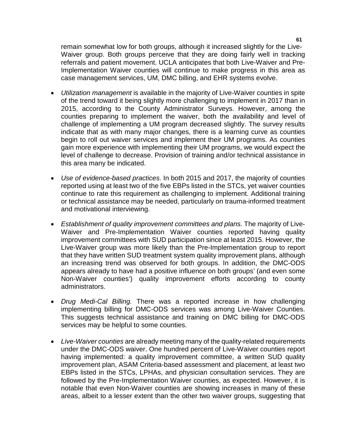remain somewhat low for both groups, although it increased slightly for the Live-Waiver group. Both groups perceive that they are doing fairly well in tracking referrals and patient movement. UCLA anticipates that both Live-Waiver and Pre-Implementation Waiver counties will continue to make progress in this area as case management services, UM, DMC billing, and EHR systems evolve.

- *Utilization management* is available in the majority of Live-Waiver counties in spite of the trend toward it being slightly more challenging to implement in 2017 than in 2015, according to the County Administrator Surveys. However, among the counties preparing to implement the waiver, both the availability and level of challenge of implementing a UM program decreased slightly. The survey results indicate that as with many major changes, there is a learning curve as counties begin to roll out waiver services and implement their UM programs. As counties gain more experience with implementing their UM programs, we would expect the level of challenge to decrease. Provision of training and/or technical assistance in this area many be indicated.
- *Use of evidence-based practices.* In both 2015 and 2017, the majority of counties reported using at least two of the five EBPs listed in the STCs, yet waiver counties continue to rate this requirement as challenging to implement. Additional training or technical assistance may be needed, particularly on trauma-informed treatment and motivational interviewing.
- *Establishment of quality improvement committees and plans.* The majority of Live-Waiver and Pre-Implementation Waiver counties reported having quality improvement committees with SUD participation since at least 2015. However, the Live-Waiver group was more likely than the Pre-Implementation group to report that they have written SUD treatment system quality improvement plans, although an increasing trend was observed for both groups. In addition, the DMC-ODS appears already to have had a positive influence on both groups' (and even some Non-Waiver counties') quality improvement efforts according to county administrators.
- *Drug Medi-Cal Billing.* There was a reported increase in how challenging implementing billing for DMC-ODS services was among Live-Waiver Counties. This suggests technical assistance and training on DMC billing for DMC-ODS services may be helpful to some counties.
- *Live-Waiver counties* are already meeting many of the quality-related requirements under the DMC-ODS waiver. One hundred percent of Live-Waiver counties report having implemented: a quality improvement committee, a written SUD quality improvement plan, ASAM Criteria-based assessment and placement, at least two EBPs listed in the STCs, LPHAs, and physician consultation services. They are followed by the Pre-Implementation Waiver counties, as expected. However, it is notable that even Non-Waiver counties are showing increases in many of these areas, albeit to a lesser extent than the other two waiver groups, suggesting that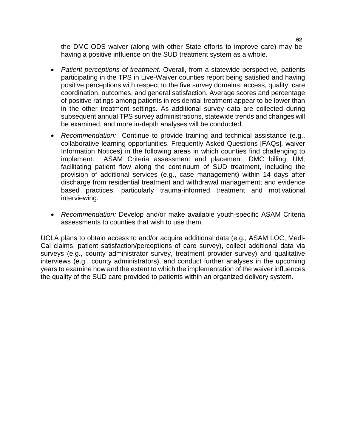the DMC-ODS waiver (along with other State efforts to improve care) may be having a positive influence on the SUD treatment system as a whole.

- *Patient perceptions of treatment.* Overall, from a statewide perspective, patients participating in the TPS in Live-Waiver counties report being satisfied and having positive perceptions with respect to the five survey domains: access, quality, care coordination, outcomes, and general satisfaction. Average scores and percentage of positive ratings among patients in residential treatment appear to be lower than in the other treatment settings. As additional survey data are collected during subsequent annual TPS survey administrations, statewide trends and changes will be examined, and more in-depth analyses will be conducted.
- *Recommendation:* Continue to provide training and technical assistance (e.g., collaborative learning opportunities, Frequently Asked Questions [FAQs], waiver Information Notices) in the following areas in which counties find challenging to implement: ASAM Criteria assessment and placement; DMC billing; UM; facilitating patient flow along the continuum of SUD treatment, including the provision of additional services (e.g., case management) within 14 days after discharge from residential treatment and withdrawal management; and evidence based practices, particularly trauma-informed treatment and motivational interviewing.
- *Recommendation:* Develop and/or make available youth-specific ASAM Criteria assessments to counties that wish to use them.

UCLA plans to obtain access to and/or acquire additional data (e.g., ASAM LOC, Medi-Cal claims, patient satisfaction/perceptions of care survey), collect additional data via surveys (e.g., county administrator survey, treatment provider survey) and qualitative interviews (e.g., county administrators), and conduct further analyses in the upcoming years to examine how and the extent to which the implementation of the waiver influences the quality of the SUD care provided to patients within an organized delivery system.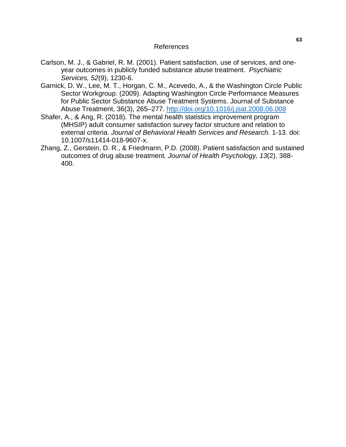#### References

- Carlson, M. J., & Gabriel, R. M. (2001). [Patient satisfaction, use of services, and one](https://www.ncbi.nlm.nih.gov/pubmed/11533398)[year outcomes in publicly funded substance abuse treatment.](https://www.ncbi.nlm.nih.gov/pubmed/11533398) *Psychiatric Services, 52*(9), 1230-6.
- Garnick, D. W., Lee, M. T., Horgan, C. M., Acevedo, A., & the Washington Circle Public Sector Workgroup. (2009). Adapting Washington Circle Performance Measures for Public Sector Substance Abuse Treatment Systems. Journal of Substance Abuse Treatment, 36(3), 265–277.<http://doi.org/10.1016/j.jsat.2008.06.008>
- Shafer, A., & Ang, R. (2018). The mental health statistics improvement program (MHSIP) adult consumer satisfaction survey factor structure and relation to external criteria. *Journal of Behavioral Health Services and Research.* 1-13. doi: 10.1007/s11414-018-9607-x.
- Zhang, Z., Gerstein, D. R., & Friedmann, P.D. (2008). Patient satisfaction and sustained outcomes of drug abuse treatment*. Journal of Health Psychology, 13*(2), 388- 400.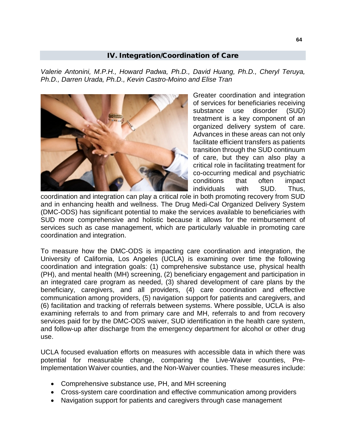## IV. Integration/Coordination of Care

*Valerie Antonini, M.P.H., Howard Padwa, Ph.D., David Huang, Ph.D., Cheryl Teruya, Ph.D., Darren Urada, Ph.D., Kevin Castro-Moino and Elise Tran*



Greater coordination and integration of services for beneficiaries receiving substance use disorder (SUD) treatment is a key component of an organized delivery system of care. Advances in these areas can not only facilitate efficient transfers as patients transition through the SUD continuum of care, but they can also play a critical role in facilitating treatment for co-occurring medical and psychiatric conditions that often impact individuals with SUD. Thus,

coordination and integration can play a critical role in both promoting recovery from SUD and in enhancing health and wellness. The Drug Medi-Cal Organized Delivery System (DMC-ODS) has significant potential to make the services available to beneficiaries with SUD more comprehensive and holistic because it allows for the reimbursement of services such as case management, which are particularly valuable in promoting care coordination and integration.

To measure how the DMC-ODS is impacting care coordination and integration, the University of California, Los Angeles (UCLA) is examining over time the following coordination and integration goals: (1) comprehensive substance use, physical health (PH), and mental health (MH) screening, (2) beneficiary engagement and participation in an integrated care program as needed, (3) shared development of care plans by the beneficiary, caregivers, and all providers, (4) care coordination and effective communication among providers, (5) navigation support for patients and caregivers, and (6) facilitation and tracking of referrals between systems. Where possible, UCLA is also examining referrals to and from primary care and MH, referrals to and from recovery services paid for by the DMC-ODS waiver, SUD identification in the health care system, and follow-up after discharge from the emergency department for alcohol or other drug use.

UCLA focused evaluation efforts on measures with accessible data in which there was potential for measurable change, comparing the Live-Waiver counties, Pre-Implementation Waiver counties, and the Non-Waiver counties. These measures include:

- Comprehensive substance use, PH, and MH screening
- Cross-system care coordination and effective communication among providers
- Navigation support for patients and caregivers through case management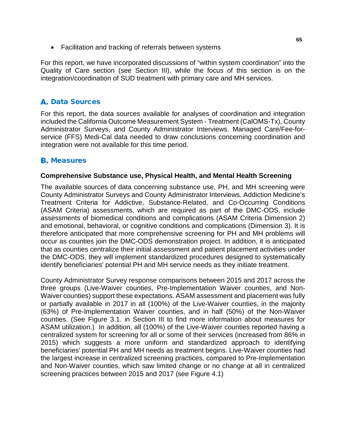• Facilitation and tracking of referrals between systems

For this report, we have incorporated discussions of "within system coordination" into the Quality of Care section (see Section III), while the focus of this section is on the integration/coordination of SUD treatment with primary care and MH services.

# **A. Data Sources**

For this report, the data sources available for analyses of coordination and integration included the California Outcome Measurement System - Treatment (CalOMS-Tx), County Administrator Surveys, and County Administrator Interviews. Managed Care/Fee-forservice (FFS) Medi-Cal data needed to draw conclusions concerning coordination and integration were not available for this time period.

# **B.** Measures

## **Comprehensive Substance use, Physical Health, and Mental Health Screening**

The available sources of data concerning substance use, PH, and MH screening were County Administrator Surveys and County Administrator Interviews. Addiction Medicine's Treatment Criteria for Addictive, Substance-Related, and Co-Occurring Conditions (ASAM Criteria) assessments, which are required as part of the DMC-ODS, include assessments of biomedical conditions and complications (ASAM Criteria Dimension 2) and emotional, behavioral, or cognitive conditions and complications (Dimension 3). It is therefore anticipated that more comprehensive screening for PH and MH problems will occur as counties join the DMC-ODS demonstration project. In addition, it is anticipated that as counties centralize their initial assessment and patient placement activities under the DMC-ODS, they will implement standardized procedures designed to systematically identify beneficiaries' potential PH and MH service needs as they initiate treatment.

County Administrator Survey response comparisons between 2015 and 2017 across the three groups (Live-Waiver counties, Pre-Implementation Waiver counties, and Non-Waiver counties) support these expectations. ASAM assessment and placement was fully or partially available in 2017 in all (100%) of the Live-Waiver counties, in the majority (63%) of Pre-Implementation Waiver counties, and in half (50%) of the Non-Waiver counties. (See Figure 3.1. in Section III to find more information about measures for ASAM utilization.) In addition, all (100%) of the Live-Waiver counties reported having a centralized system for screening for all or some of their services (increased from 86% in 2015) which suggests a more uniform and standardized approach to identifying beneficiaries' potential PH and MH needs as treatment begins. Live-Waiver counties had the largest increase in centralized screening practices, compared to Pre-Implementation and Non-Waiver counties, which saw limited change or no change at all in centralized screening practices between 2015 and 2017 (see Figure 4.1)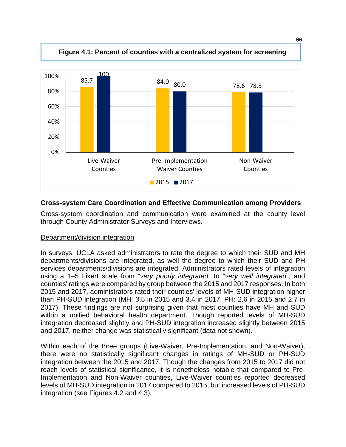

# **Cross-system Care Coordination and Effective Communication among Providers**

Cross-system coordination and communication were examined at the county level through County Administrator Surveys and Interviews.

## Department/division integration

In surveys, UCLA asked administrators to rate the degree to which their SUD and MH departments/divisions are integrated, as well the degree to which their SUD and PH services departments/divisions are integrated. Administrators rated levels of integration using a 1–5 Likert scale from "*very poorly integrated*" to "*very well integrated*", and counties' ratings were compared by group between the 2015 and 2017 responses. In both 2015 and 2017, administrators rated their counties' levels of MH-SUD integration higher than PH-SUD integration (MH: 3.5 in 2015 and 3.4 in 2017; PH: 2.6 in 2015 and 2.7 in 2017). These findings are not surprising given that most counties have MH and SUD within a unified behavioral health department. Though reported levels of MH-SUD integration decreased slightly and PH-SUD integration increased slightly between 2015 and 2017, neither change was statistically significant (data not shown).

Within each of the three groups (Live-Waiver, Pre-Implementation, and Non-Waiver), there were no statistically significant changes in ratings of MH-SUD or PH-SUD integration between the 2015 and 2017. Though the changes from 2015 to 2017 did not reach levels of statistical significance, it is nonetheless notable that compared to Pre-Implementation and Non-Waiver counties, Live-Waiver counties reported decreased levels of MH-SUD integration in 2017 compared to 2015, but increased levels of PH-SUD integration (see Figures 4.2 and 4.3).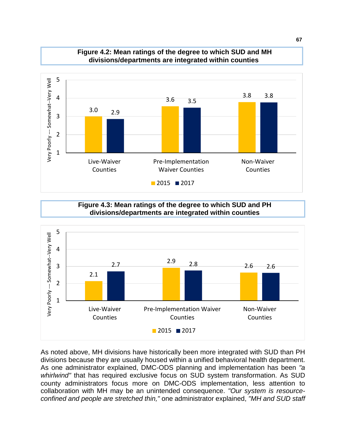

#### **Figure 4.2: Mean ratings of the degree to which SUD and MH divisions/departments are integrated within counties**

**Figure 4.3: Mean ratings of the degree to which SUD and PH divisions/departments are integrated within counties**



As noted above, MH divisions have historically been more integrated with SUD than PH divisions because they are usually housed within a unified behavioral health department. As one administrator explained, DMC-ODS planning and implementation has been *"a whirlwind"* that has required exclusive focus on SUD system transformation. As SUD county administrators focus more on DMC-ODS implementation, less attention to collaboration with MH may be an unintended consequence. *"Our system is resourceconfined and people are stretched thin,"* one administrator explained, *"MH and SUD staff*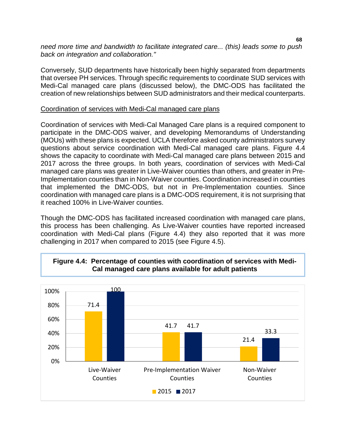*need more time and bandwidth to facilitate integrated care... (this) leads some to push back on integration and collaboration."*

Conversely, SUD departments have historically been highly separated from departments that oversee PH services. Through specific requirements to coordinate SUD services with Medi-Cal managed care plans (discussed below), the DMC-ODS has facilitated the creation of new relationships between SUD administrators and their medical counterparts.

#### Coordination of services with Medi-Cal managed care plans

Coordination of services with Medi-Cal Managed Care plans is a required component to participate in the DMC-ODS waiver, and developing Memorandums of Understanding (MOUs) with these plans is expected. UCLA therefore asked county administrators survey questions about service coordination with Medi-Cal managed care plans. Figure 4.4 shows the capacity to coordinate with Medi-Cal managed care plans between 2015 and 2017 across the three groups. In both years, coordination of services with Medi-Cal managed care plans was greater in Live-Waiver counties than others, and greater in Pre-Implementation counties than in Non-Waiver counties. Coordination increased in counties that implemented the DMC-ODS, but not in Pre-Implementation counties. Since coordination with managed care plans is a DMC-ODS requirement, it is not surprising that it reached 100% in Live-Waiver counties.

Though the DMC-ODS has facilitated increased coordination with managed care plans, this process has been challenging. As Live-Waiver counties have reported increased coordination with Medi-Cal plans (Figure 4.4) they also reported that it was more challenging in 2017 when compared to 2015 (see Figure 4.5).



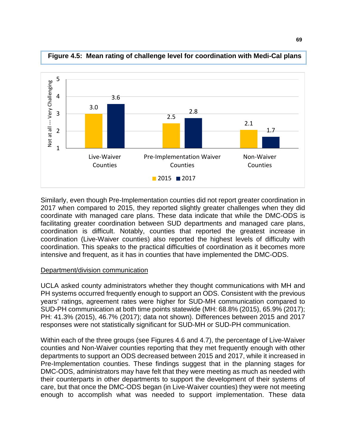

**Figure 4.5: Mean rating of challenge level for coordination with Medi-Cal plans**

Similarly, even though Pre-Implementation counties did not report greater coordination in 2017 when compared to 2015, they reported slightly greater challenges when they did coordinate with managed care plans. These data indicate that while the DMC-ODS is facilitating greater coordination between SUD departments and managed care plans, coordination is difficult. Notably, counties that reported the greatest increase in coordination (Live-Waiver counties) also reported the highest levels of difficulty with coordination. This speaks to the practical difficulties of coordination as it becomes more intensive and frequent, as it has in counties that have implemented the DMC-ODS.

#### Department/division communication

UCLA asked county administrators whether they thought communications with MH and PH systems occurred frequently enough to support an ODS. Consistent with the previous years' ratings, agreement rates were higher for SUD-MH communication compared to SUD-PH communication at both time points statewide (MH: 68.8% (2015), 65.9% (2017); PH: 41.3% (2015), 46.7% (2017); data not shown). Differences between 2015 and 2017 responses were not statistically significant for SUD-MH or SUD-PH communication.

Within each of the three groups (see Figures 4.6 and 4.7), the percentage of Live-Waiver counties and Non-Waiver counties reporting that they met frequently enough with other departments to support an ODS decreased between 2015 and 2017, while it increased in Pre-Implementation counties. These findings suggest that in the planning stages for DMC-ODS, administrators may have felt that they were meeting as much as needed with their counterparts in other departments to support the development of their systems of care, but that once the DMC-ODS began (in Live-Waiver counties) they were not meeting enough to accomplish what was needed to support implementation. These data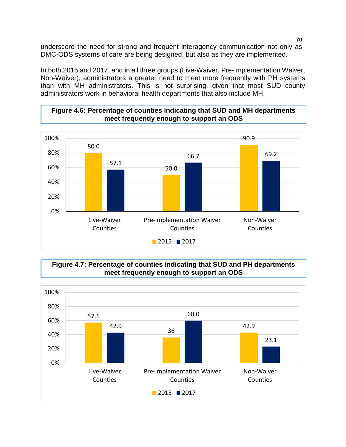underscore the need for strong and frequent interagency communication not only as DMC-ODS systems of care are being designed, but also as they are implemented.

In both 2015 and 2017, and in all three groups (Live-Waiver, Pre-Implementation Waiver, Non-Waiver), administrators a greater need to meet more frequently with PH systems than with MH administrators. This is not surprising, given that most SUD county administrators work in behavioral health departments that also include MH.

### **Figure 4.6: Percentage of counties indicating that SUD and MH departments meet frequently enough to support an ODS**



**Figure 4.7: Percentage of counties indicating that SUD and PH departments meet frequently enough to support an ODS**



**70**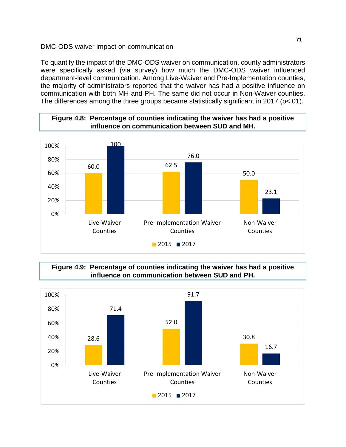#### DMC-ODS waiver impact on communication

To quantify the impact of the DMC-ODS waiver on communication, county administrators were specifically asked (via survey) how much the DMC-ODS waiver influenced department-level communication. Among Live-Waiver and Pre-Implementation counties, the majority of administrators reported that the waiver has had a positive influence on communication with both MH and PH. The same did not occur in Non-Waiver counties. The differences among the three groups became statistically significant in 2017 (p<.01).



### **Figure 4.8: Percentage of counties indicating the waiver has had a positive influence on communication between SUD and MH.**

**Figure 4.9: Percentage of counties indicating the waiver has had a positive influence on communication between SUD and PH.**

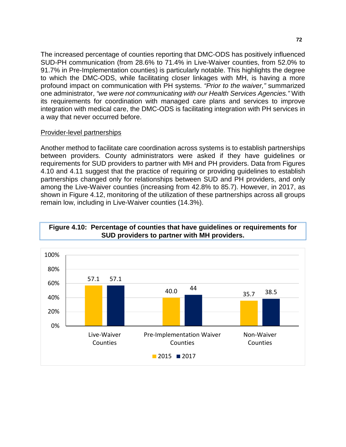The increased percentage of counties reporting that DMC-ODS has positively influenced SUD-PH communication (from 28.6% to 71.4% in Live-Waiver counties, from 52.0% to 91.7% in Pre-Implementation counties) is particularly notable. This highlights the degree to which the DMC-ODS, while facilitating closer linkages with MH, is having a more profound impact on communication with PH systems. *"Prior to the waiver,"* summarized one administrator, *"we were not communicating with our Health Services Agencies."* With its requirements for coordination with managed care plans and services to improve integration with medical care, the DMC-ODS is facilitating integration with PH services in a way that never occurred before.

### Provider-level partnerships

Another method to facilitate care coordination across systems is to establish partnerships between providers. County administrators were asked if they have guidelines or requirements for SUD providers to partner with MH and PH providers. Data from Figures 4.10 and 4.11 suggest that the practice of requiring or providing guidelines to establish partnerships changed only for relationships between SUD and PH providers, and only among the Live-Waiver counties (increasing from 42.8% to 85.7). However, in 2017, as shown in Figure 4.12, monitoring of the utilization of these partnerships across all groups remain low, including in Live-Waiver counties (14.3%).



#### **Figure 4.10: Percentage of counties that have guidelines or requirements for SUD providers to partner with MH providers.**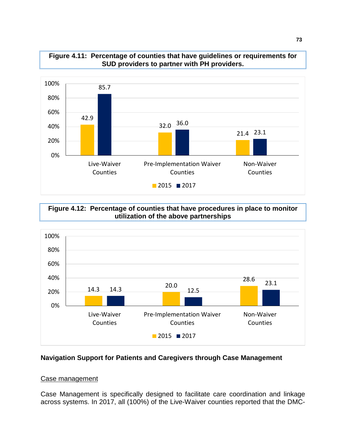

#### **Figure 4.11: Percentage of counties that have guidelines or requirements for SUD providers to partner with PH providers.**

## **Figure 4.12: Percentage of counties that have procedures in place to monitor utilization of the above partnerships**



# **Navigation Support for Patients and Caregivers through Case Management**

### Case management

Case Management is specifically designed to facilitate care coordination and linkage across systems. In 2017, all (100%) of the Live-Waiver counties reported that the DMC-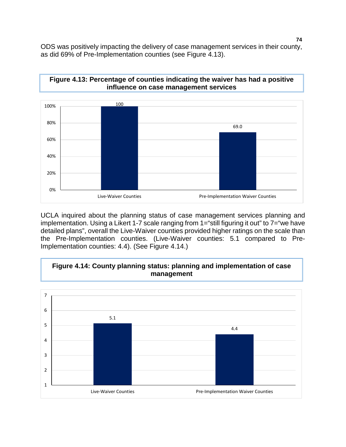ODS was positively impacting the delivery of case management services in their county, as did 69% of Pre-Implementation counties (see Figure 4.13).





UCLA inquired about the planning status of case management services planning and implementation. Using a Likert 1-7 scale ranging from 1="still figuring it out" to 7="we have detailed plans", overall the Live-Waiver counties provided higher ratings on the scale than the Pre-Implementation counties. (Live-Waiver counties: 5.1 compared to Pre-Implementation counties: 4.4). (See Figure 4.14.)

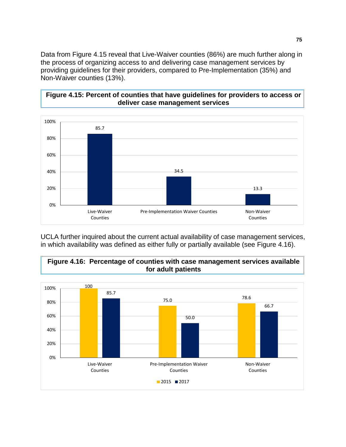Data from Figure 4.15 reveal that Live-Waiver counties (86%) are much further along in the process of organizing access to and delivering case management services by providing guidelines for their providers, compared to Pre-Implementation (35%) and Non-Waiver counties (13%).

## **Figure 4.15: Percent of counties that have guidelines for providers to access or deliver case management services**



UCLA further inquired about the current actual availability of case management services, in which availability was defined as either fully or partially available (see Figure 4.16).

# **Figure 4.16: Percentage of counties with case management services available for adult patients**

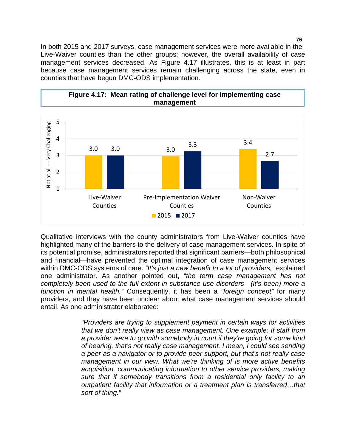In both 2015 and 2017 surveys, case management services were more available in the Live-Waiver counties than the other groups; however, the overall availability of case management services decreased. As Figure 4.17 illustrates, this is at least in part because case management services remain challenging across the state, even in counties that have begun DMC-ODS implementation.



Qualitative interviews with the county administrators from Live-Waiver counties have highlighted many of the barriers to the delivery of case management services. In spite of its potential promise, administrators reported that significant barriers—both philosophical and financial—have prevented the optimal integration of case management services within DMC-ODS systems of care. *"It's just a new benefit to a lot of providers,"* explained one administrator. As another pointed out, "*the term case management has not completely been used to the full extent in substance use disorders—(it's been) more a function in mental health."* Consequently, it has been a *"foreign concept"* for many providers, and they have been unclear about what case management services should entail. As one administrator elaborated:

> *"Providers are trying to supplement payment in certain ways for activities that we don't really view as case management. One example: If staff from a provider were to go with somebody in court if they're going for some kind of hearing, that's not really case management. I mean, I could see sending a peer as a navigator or to provide peer support, but that's not really case management in our view. What we're thinking of is more active benefits acquisition, communicating information to other service providers, making sure that if somebody transitions from a residential only facility to an outpatient facility that information or a treatment plan is transferred…that sort of thing."*

**76**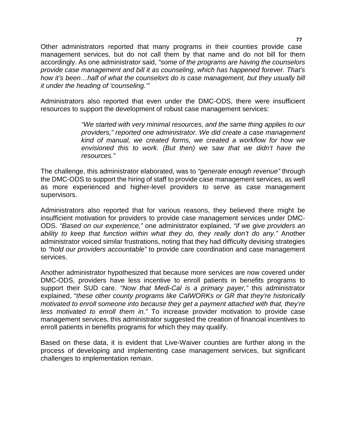Other administrators reported that many programs in their counties provide case management services, but do not call them by that name and do not bill for them accordingly. As one administrator said, *"some of the programs are having the counselors provide case management and bill it as counseling, which has happened forever. That's how it's been…half of what the counselors do is case management, but they usually bill it under the heading of 'counseling.'"*

Administrators also reported that even under the DMC-ODS, there were insufficient resources to support the development of robust case management services:

> *"We started with very minimal resources, and the same thing applies to our providers," reported one administrator. We did create a case management kind of manual, we created forms, we created a workflow for how we envisioned this to work. (But then) we saw that we didn't have the resources."*

The challenge, this administrator elaborated, was to *"generate enough revenue"* through the DMC-ODS to support the hiring of staff to provide case management services, as well as more experienced and higher-level providers to serve as case management supervisors.

Administrators also reported that for various reasons, they believed there might be insufficient motivation for providers to provide case management services under DMC-ODS. *"Based on our experience,"* one administrator explained, *"if we give providers an ability to keep that function within what they do, they really don't do any."* Another administrator voiced similar frustrations, noting that they had difficulty devising strategies to *"hold our providers accountable"* to provide care coordination and case management services.

Another administrator hypothesized that because more services are now covered under DMC-ODS, providers have less incentive to enroll patients in benefits programs to support their SUD care. *"Now that Medi-Cal is a primary payer,"* this administrator explained, "*these other county programs like CalWORKs or GR that they're historically motivated to enroll someone into because they get a payment attached with that, they're less motivated to enroll them in."* To increase provider motivation to provide case management services, this administrator suggested the creation of financial incentives to enroll patients in benefits programs for which they may qualify.

Based on these data, it is evident that Live-Waiver counties are further along in the process of developing and implementing case management services, but significant challenges to implementation remain.

**77**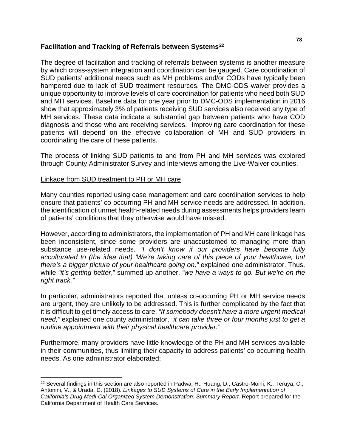### **Facilitation and Tracking of Referrals between Systems[22](#page-80-0)**

The degree of facilitation and tracking of referrals between systems is another measure by which cross-system integration and coordination can be gauged. Care coordination of SUD patients' additional needs such as MH problems and/or CODs have typically been hampered due to lack of SUD treatment resources. The DMC-ODS waiver provides a unique opportunity to improve levels of care coordination for patients who need both SUD and MH services. Baseline data for one year prior to DMC-ODS implementation in 2016 show that approximately 3% of patients receiving SUD services also received any type of MH services. These data indicate a substantial gap between patients who have COD diagnosis and those who are receiving services. Improving care coordination for these patients will depend on the effective collaboration of MH and SUD providers in coordinating the care of these patients.

The process of linking SUD patients to and from PH and MH services was explored through County Administrator Survey and Interviews among the Live-Waiver counties.

### Linkage from SUD treatment to PH or MH care

Many counties reported using case management and care coordination services to help ensure that patients' co-occurring PH and MH service needs are addressed. In addition, the identification of unmet health-related needs during assessments helps providers learn of patients' conditions that they otherwise would have missed.

However, according to administrators, the implementation of PH and MH care linkage has been inconsistent, since some providers are unaccustomed to managing more than substance use-related needs. *"I don't know if our providers have become fully acculturated to (the idea that) 'We're taking care of this piece of your healthcare, but there's a bigger picture of your healthcare going on,"* explained one administrator. Thus, while *"it's getting better*," summed up another, *"we have a ways to go. But we're on the right track."*

In particular, administrators reported that unless co-occurring PH or MH service needs are urgent, they are unlikely to be addressed. This is further complicated by the fact that it is difficult to get timely access to care. *"If somebody doesn't have a more urgent medical need,"* explained one county administrator, *"it can take three or four months just to get a routine appointment with their physical healthcare provider."* 

Furthermore, many providers have little knowledge of the PH and MH services available in their communities, thus limiting their capacity to address patients' co-occurring health needs. As one administrator elaborated:

<span id="page-80-0"></span> <sup>22</sup> Several findings in this section are also reported in Padwa, H., Huang, D., Castro-Moini, K., Teruya, C., Antonini, V., & Urada, D. (2018). *Linkages to SUD Systems of Care in the Early Implementation of*  California's Drug Medi-Cal Organized System Demonstration: Summary Report. Report prepared for the California Department of Health Care Services.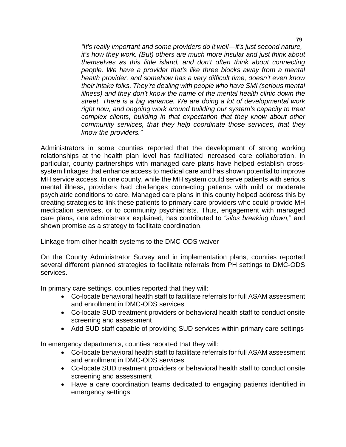*"It's really important and some providers do it well—it's just second nature, it's how they work. (But) others are much more insular and just think about themselves as this little island, and don't often think about connecting people. We have a provider that's like three blocks away from a mental health provider, and somehow has a very difficult time, doesn't even know their intake folks. They're dealing with people who have SMI (serious mental illness) and they don't know the name of the mental health clinic down the street. There is a big variance. We are doing a lot of developmental work right now, and ongoing work around building our system's capacity to treat complex clients, building in that expectation that they know about other community services, that they help coordinate those services, that they know the providers."*

Administrators in some counties reported that the development of strong working relationships at the health plan level has facilitated increased care collaboration. In particular, county partnerships with managed care plans have helped establish crosssystem linkages that enhance access to medical care and has shown potential to improve MH service access. In one county, while the MH system could serve patients with serious mental illness, providers had challenges connecting patients with mild or moderate psychiatric conditions to care. Managed care plans in this county helped address this by creating strategies to link these patients to primary care providers who could provide MH medication services, or to community psychiatrists. Thus, engagement with managed care plans, one administrator explained, has contributed to *"silos breaking down,*" and shown promise as a strategy to facilitate coordination.

### Linkage from other health systems to the DMC-ODS waiver

On the County Administrator Survey and in implementation plans, counties reported several different planned strategies to facilitate referrals from PH settings to DMC-ODS services.

In primary care settings, counties reported that they will:

- Co-locate behavioral health staff to facilitate referrals for full ASAM assessment and enrollment in DMC-ODS services
- Co-locate SUD treatment providers or behavioral health staff to conduct onsite screening and assessment
- Add SUD staff capable of providing SUD services within primary care settings

In emergency departments, counties reported that they will:

- Co-locate behavioral health staff to facilitate referrals for full ASAM assessment and enrollment in DMC-ODS services
- Co-locate SUD treatment providers or behavioral health staff to conduct onsite screening and assessment
- Have a care coordination teams dedicated to engaging patients identified in emergency settings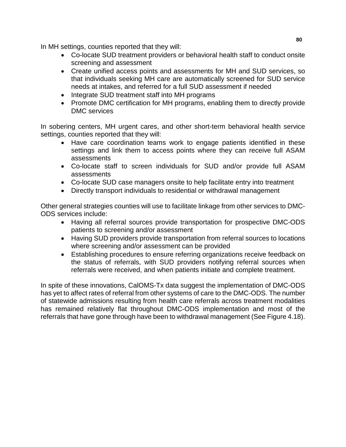In MH settings, counties reported that they will:

- Co-locate SUD treatment providers or behavioral health staff to conduct onsite screening and assessment
- Create unified access points and assessments for MH and SUD services, so that individuals seeking MH care are automatically screened for SUD service needs at intakes, and referred for a full SUD assessment if needed
- Integrate SUD treatment staff into MH programs
- Promote DMC certification for MH programs, enabling them to directly provide DMC services

In sobering centers, MH urgent cares, and other short-term behavioral health service settings, counties reported that they will:

- Have care coordination teams work to engage patients identified in these settings and link them to access points where they can receive full ASAM assessments
- Co-locate staff to screen individuals for SUD and/or provide full ASAM assessments
- Co-locate SUD case managers onsite to help facilitate entry into treatment
- Directly transport individuals to residential or withdrawal management

Other general strategies counties will use to facilitate linkage from other services to DMC-ODS services include:

- Having all referral sources provide transportation for prospective DMC-ODS patients to screening and/or assessment
- Having SUD providers provide transportation from referral sources to locations where screening and/or assessment can be provided
- Establishing procedures to ensure referring organizations receive feedback on the status of referrals, with SUD providers notifying referral sources when referrals were received, and when patients initiate and complete treatment.

In spite of these innovations, CalOMS-Tx data suggest the implementation of DMC-ODS has yet to affect rates of referral from other systems of care to the DMC-ODS. The number of statewide admissions resulting from health care referrals across treatment modalities has remained relatively flat throughout DMC-ODS implementation and most of the referrals that have gone through have been to withdrawal management (See Figure 4.18).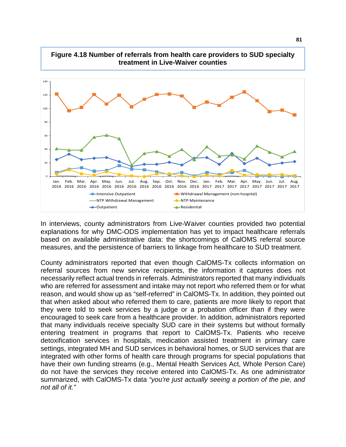

In interviews, county administrators from Live-Waiver counties provided two potential explanations for why DMC-ODS implementation has yet to impact healthcare referrals based on available administrative data: the shortcomings of CalOMS referral source measures, and the persistence of barriers to linkage from healthcare to SUD treatment.

County administrators reported that even though CalOMS-Tx collects information on referral sources from new service recipients, the information it captures does not necessarily reflect actual trends in referrals. Administrators reported that many individuals who are referred for assessment and intake may not report who referred them or for what reason, and would show up as "self-referred" in CalOMS-Tx. In addition, they pointed out that when asked about who referred them to care, patients are more likely to report that they were told to seek services by a judge or a probation officer than if they were encouraged to seek care from a healthcare provider. In addition, administrators reported that many individuals receive specialty SUD care in their systems but without formally entering treatment in programs that report to CalOMS-Tx. Patients who receive detoxification services in hospitals, medication assisted treatment in primary care settings, integrated MH and SUD services in behavioral homes, or SUD services that are integrated with other forms of health care through programs for special populations that have their own funding streams (e.g., Mental Health Services Act, Whole Person Care) do not have the services they receive entered into CalOMS-Tx. As one administrator summarized, with CalOMS-Tx data *"you're just actually seeing a portion of the pie, and not all of it."*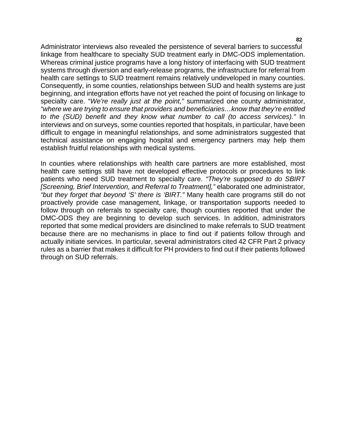**82**

Administrator interviews also revealed the persistence of several barriers to successful linkage from healthcare to specialty SUD treatment early in DMC-ODS implementation. Whereas criminal justice programs have a long history of interfacing with SUD treatment systems through diversion and early-release programs, the infrastructure for referral from health care settings to SUD treatment remains relatively undeveloped in many counties. Consequently, in some counties, relationships between SUD and health systems are just beginning, and integration efforts have not yet reached the point of focusing on linkage to specialty care. "*We're really just at the point,"* summarized one county administrator, *"where we are trying to ensure that providers and beneficiaries…know that they're entitled to the (SUD) benefit and they know what number to call (to access services)."* In interviews and on surveys, some counties reported that hospitals, in particular, have been difficult to engage in meaningful relationships, and some administrators suggested that technical assistance on engaging hospital and emergency partners may help them establish fruitful relationships with medical systems.

In counties where relationships with health care partners are more established, most health care settings still have not developed effective protocols or procedures to link patients who need SUD treatment to specialty care. *"They're supposed to do SBIRT [Screening, Brief Intervention, and Referral to Treatment],"* elaborated one administrator, *"but they forget that beyond 'S' there is 'BIRT."* Many health care programs still do not proactively provide case management, linkage, or transportation supports needed to follow through on referrals to specialty care, though counties reported that under the DMC-ODS they are beginning to develop such services. In addition, administrators reported that some medical providers are disinclined to make referrals to SUD treatment because there are no mechanisms in place to find out if patients follow through and actually initiate services. In particular, several administrators cited 42 CFR Part 2 privacy rules as a barrier that makes it difficult for PH providers to find out if their patients followed through on SUD referrals.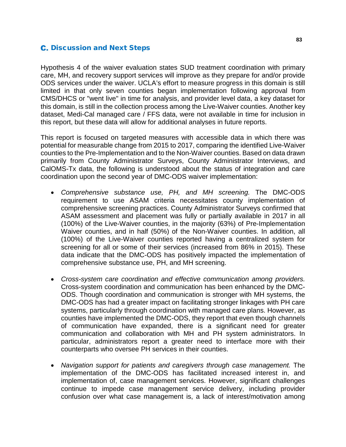# **C.** Discussion and Next Steps

Hypothesis 4 of the waiver evaluation states SUD treatment coordination with primary care, MH, and recovery support services will improve as they prepare for and/or provide ODS services under the waiver. UCLA's effort to measure progress in this domain is still limited in that only seven counties began implementation following approval from CMS/DHCS or "went live" in time for analysis, and provider level data, a key dataset for this domain, is still in the collection process among the Live-Waiver counties. Another key dataset, Medi-Cal managed care / FFS data, were not available in time for inclusion in this report, but these data will allow for additional analyses in future reports.

This report is focused on targeted measures with accessible data in which there was potential for measurable change from 2015 to 2017, comparing the identified Live-Waiver counties to the Pre-Implementation and to the Non-Waiver counties. Based on data drawn primarily from County Administrator Surveys, County Administrator Interviews, and CalOMS-Tx data, the following is understood about the status of integration and care coordination upon the second year of DMC-ODS waiver implementation:

- *Comprehensive substance use, PH, and MH screening.* The DMC-ODS requirement to use ASAM criteria necessitates county implementation of comprehensive screening practices. County Administrator Surveys confirmed that ASAM assessment and placement was fully or partially available in 2017 in all (100%) of the Live-Waiver counties, in the majority (63%) of Pre-Implementation Waiver counties, and in half (50%) of the Non-Waiver counties. In addition, all (100%) of the Live-Waiver counties reported having a centralized system for screening for all or some of their services (increased from 86% in 2015). These data indicate that the DMC-ODS has positively impacted the implementation of comprehensive substance use, PH, and MH screening.
- *Cross-system care coordination and effective communication among providers.*  Cross-system coordination and communication has been enhanced by the DMC-ODS. Though coordination and communication is stronger with MH systems, the DMC-ODS has had a greater impact on facilitating stronger linkages with PH care systems, particularly through coordination with managed care plans. However, as counties have implemented the DMC-ODS, they report that even though channels of communication have expanded, there is a significant need for greater communication and collaboration with MH and PH system administrators. In particular, administrators report a greater need to interface more with their counterparts who oversee PH services in their counties.
- *Navigation support for patients and caregivers through case management.* The implementation of the DMC-ODS has facilitated increased interest in, and implementation of, case management services. However, significant challenges continue to impede case management service delivery, including provider confusion over what case management is, a lack of interest/motivation among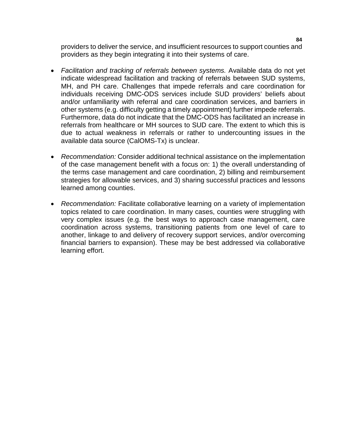providers to deliver the service, and insufficient resources to support counties and providers as they begin integrating it into their systems of care.

- *Facilitation and tracking of referrals between systems.* Available data do not yet indicate widespread facilitation and tracking of referrals between SUD systems, MH, and PH care. Challenges that impede referrals and care coordination for individuals receiving DMC-ODS services include SUD providers' beliefs about and/or unfamiliarity with referral and care coordination services, and barriers in other systems (e.g. difficulty getting a timely appointment) further impede referrals. Furthermore, data do not indicate that the DMC-ODS has facilitated an increase in referrals from healthcare or MH sources to SUD care. The extent to which this is due to actual weakness in referrals or rather to undercounting issues in the available data source (CalOMS-Tx) is unclear.
- *Recommendation:* Consider additional technical assistance on the implementation of the case management benefit with a focus on: 1) the overall understanding of the terms case management and care coordination, 2) billing and reimbursement strategies for allowable services, and 3) sharing successful practices and lessons learned among counties.
- *Recommendation:* Facilitate collaborative learning on a variety of implementation topics related to care coordination. In many cases, counties were struggling with very complex issues (e.g. the best ways to approach case management, care coordination across systems, transitioning patients from one level of care to another, linkage to and delivery of recovery support services, and/or overcoming financial barriers to expansion). These may be best addressed via collaborative learning effort.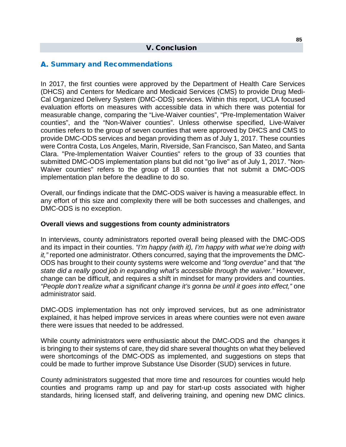#### V. Conclusion

#### A. Summary and Recommendations

In 2017, the first counties were approved by the Department of Health Care Services (DHCS) and Centers for Medicare and Medicaid Services (CMS) to provide Drug Medi-Cal Organized Delivery System (DMC-ODS) services. Within this report, UCLA focused evaluation efforts on measures with accessible data in which there was potential for measurable change, comparing the "Live-Waiver counties", "Pre-Implementation Waiver counties", and the "Non-Waiver counties". Unless otherwise specified, Live-Waiver counties refers to the group of seven counties that were approved by DHCS and CMS to provide DMC-ODS services and began providing them as of July 1, 2017. These counties were Contra Costa, Los Angeles, Marin, Riverside, San Francisco, San Mateo, and Santa Clara. "Pre-Implementation Waiver Counties" refers to the group of 33 counties that submitted DMC-ODS implementation plans but did not "go live" as of July 1, 2017. "Non-Waiver counties" refers to the group of 18 counties that not submit a DMC-ODS implementation plan before the deadline to do so.

Overall, our findings indicate that the DMC-ODS waiver is having a measurable effect. In any effort of this size and complexity there will be both successes and challenges, and DMC-ODS is no exception.

#### **Overall views and suggestions from county administrators**

In interviews, county administrators reported overall being pleased with the DMC-ODS and its impact in their counties. *"I'm happy (with it), I'm happy with what we're doing with it,"* reported one administrator. Others concurred, saying that the improvements the DMC-ODS has brought to their county systems were welcome and *"long overdue"* and that *"the state did a really good job in expanding what's accessible through the waiver."* However, change can be difficult, and requires a shift in mindset for many providers and counties. *"People don't realize what a significant change it's gonna be until it goes into effect,"* one administrator said.

DMC-ODS implementation has not only improved services, but as one administrator explained, it has helped improve services in areas where counties were not even aware there were issues that needed to be addressed.

While county administrators were enthusiastic about the DMC-ODS and the changes it is bringing to their systems of care, they did share several thoughts on what they believed were shortcomings of the DMC-ODS as implemented, and suggestions on steps that could be made to further improve Substance Use Disorder (SUD) services in future.

County administrators suggested that more time and resources for counties would help counties and programs ramp up and pay for start-up costs associated with higher standards, hiring licensed staff, and delivering training, and opening new DMC clinics.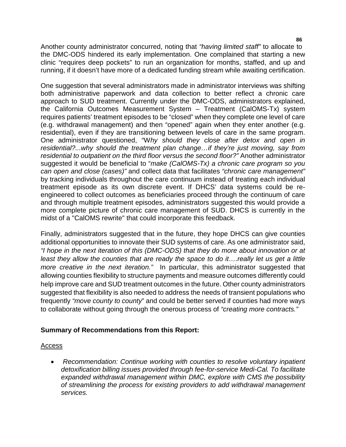Another county administrator concurred, noting that *"having limited staff"* to allocate to the DMC-ODS hindered its early implementation. One complained that starting a new clinic "requires deep pockets" to run an organization for months, staffed, and up and running, if it doesn't have more of a dedicated funding stream while awaiting certification.

One suggestion that several administrators made in administrator interviews was shifting both administrative paperwork and data collection to better reflect a chronic care approach to SUD treatment. Currently under the DMC-ODS, administrators explained, the California Outcomes Measurement System – Treatment (CalOMS-Tx) system requires patients' treatment episodes to be "closed" when they complete one level of care (e.g. withdrawal management) and then "opened" again when they enter another (e.g. residential), even if they are transitioning between levels of care in the same program. One administrator questioned, "W*hy should they close after detox and open in residential?...why should the treatment plan change…if they're just moving, say from residential to outpatient on the third floor versus the second floor?"* Another administrator suggested it would be beneficial to "*make (CalOMS-Tx) a chronic care program so you can open and close (cases)"* and collect data that facilitates *"chronic care management"*  by tracking individuals throughout the care continuum instead of treating each individual treatment episode as its own discrete event. If DHCS' data systems could be reengineered to collect outcomes as beneficiaries proceed through the continuum of care and through multiple treatment episodes, administrators suggested this would provide a more complete picture of chronic care management of SUD. DHCS is currently in the midst of a "CalOMS rewrite" that could incorporate this feedback.

Finally, administrators suggested that in the future, they hope DHCS can give counties additional opportunities to innovate their SUD systems of care. As one administrator said, *"I hope in the next iteration of this (DMC-ODS) that they do more about innovation or at least they allow the counties that are ready the space to do it….really let us get a little more creative in the next iteration.*" In particular, this administrator suggested that allowing counties flexibility to structure payments and measure outcomes differently could help improve care and SUD treatment outcomes in the future. Other county administrators suggested that flexibility is also needed to address the needs of transient populations who frequently *"move county to county*" and could be better served if counties had more ways to collaborate without going through the onerous process of *"creating more contracts."* 

# **Summary of Recommendations from this Report:**

### Access

• Recommendation: Continue working with counties to resolve voluntary inpatient *detoxification billing issues provided through fee-for-service Medi-Cal. To facilitate expanded withdrawal management within DMC, explore with CMS the possibility of streamlining the process for existing providers to add withdrawal management services.*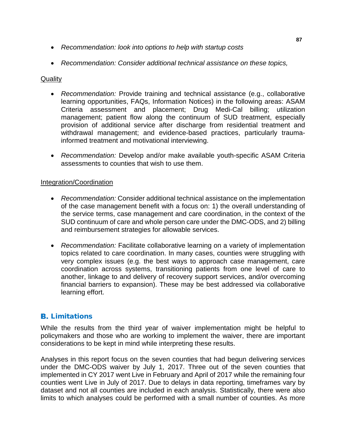- *Recommendation: look into options to help with startup costs*
- *Recommendation: Consider additional technical assistance on these topics,*

### **Quality**

- *Recommendation:* Provide training and technical assistance (e.g., collaborative learning opportunities, FAQs, Information Notices) in the following areas: ASAM Criteria assessment and placement; Drug Medi-Cal billing; utilization management; patient flow along the continuum of SUD treatment, especially provision of additional service after discharge from residential treatment and withdrawal management; and evidence-based practices, particularly traumainformed treatment and motivational interviewing.
- *Recommendation:* Develop and/or make available youth-specific ASAM Criteria assessments to counties that wish to use them.

#### Integration/Coordination

- *Recommendation:* Consider additional technical assistance on the implementation of the case management benefit with a focus on: 1) the overall understanding of the service terms, case management and care coordination, in the context of the SUD continuum of care and whole person care under the DMC-ODS, and 2) billing and reimbursement strategies for allowable services.
- *Recommendation:* Facilitate collaborative learning on a variety of implementation topics related to care coordination. In many cases, counties were struggling with very complex issues (e.g. the best ways to approach case management, care coordination across systems, transitioning patients from one level of care to another, linkage to and delivery of recovery support services, and/or overcoming financial barriers to expansion). These may be best addressed via collaborative learning effort.

# **B.** Limitations

While the results from the third year of waiver implementation might be helpful to policymakers and those who are working to implement the waiver, there are important considerations to be kept in mind while interpreting these results.

Analyses in this report focus on the seven counties that had begun delivering services under the DMC-ODS waiver by July 1, 2017. Three out of the seven counties that implemented in CY 2017 went Live in February and April of 2017 while the remaining four counties went Live in July of 2017. Due to delays in data reporting, timeframes vary by dataset and not all counties are included in each analysis. Statistically, there were also limits to which analyses could be performed with a small number of counties. As more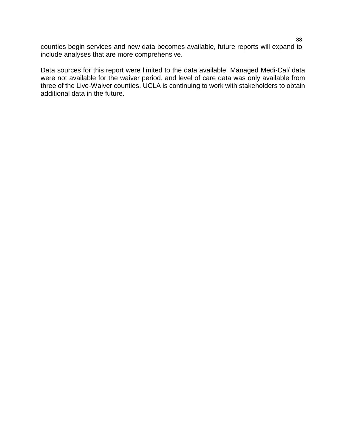counties begin services and new data becomes available, future reports will expand to include analyses that are more comprehensive.

Data sources for this report were limited to the data available. Managed Medi-Cal/ data were not available for the waiver period, and level of care data was only available from three of the Live-Waiver counties. UCLA is continuing to work with stakeholders to obtain additional data in the future.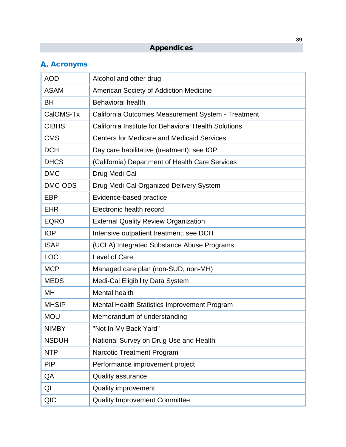# Appendices

# **A.** Acronyms

| <b>AOD</b>   | Alcohol and other drug                               |
|--------------|------------------------------------------------------|
| <b>ASAM</b>  | American Society of Addiction Medicine               |
| <b>BH</b>    | <b>Behavioral health</b>                             |
| CalOMS-Tx    | California Outcomes Measurement System - Treatment   |
| <b>CIBHS</b> | California Institute for Behavioral Health Solutions |
| <b>CMS</b>   | <b>Centers for Medicare and Medicaid Services</b>    |
| <b>DCH</b>   | Day care habilitative (treatment); see IOP           |
| <b>DHCS</b>  | (California) Department of Health Care Services      |
| <b>DMC</b>   | Drug Medi-Cal                                        |
| DMC-ODS      | Drug Medi-Cal Organized Delivery System              |
| EBP          | Evidence-based practice                              |
| <b>EHR</b>   | Electronic health record                             |
| <b>EQRO</b>  | <b>External Quality Review Organization</b>          |
| <b>IOP</b>   | Intensive outpatient treatment; see DCH              |
| <b>ISAP</b>  | (UCLA) Integrated Substance Abuse Programs           |
| <b>LOC</b>   | Level of Care                                        |
| <b>MCP</b>   | Managed care plan (non-SUD, non-MH)                  |
| <b>MEDS</b>  | Medi-Cal Eligibility Data System                     |
| MH           | <b>Mental health</b>                                 |
| <b>MHSIP</b> | <b>Mental Health Statistics Improvement Program</b>  |
| <b>MOU</b>   | Memorandum of understanding                          |
| <b>NIMBY</b> | "Not In My Back Yard"                                |
| <b>NSDUH</b> | National Survey on Drug Use and Health               |
| <b>NTP</b>   | Narcotic Treatment Program                           |
| <b>PIP</b>   | Performance improvement project                      |
| QA           | <b>Quality assurance</b>                             |
| QI           | <b>Quality improvement</b>                           |
| <b>QIC</b>   | <b>Quality Improvement Committee</b>                 |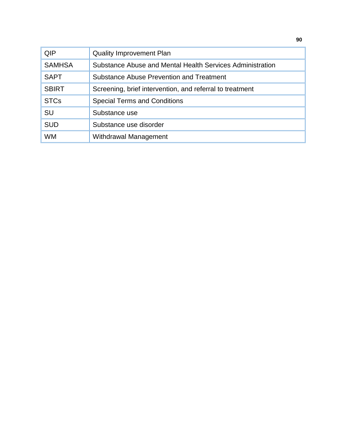| QIP           | <b>Quality Improvement Plan</b>                           |
|---------------|-----------------------------------------------------------|
| <b>SAMHSA</b> | Substance Abuse and Mental Health Services Administration |
| <b>SAPT</b>   | <b>Substance Abuse Prevention and Treatment</b>           |
| <b>SBIRT</b>  | Screening, brief intervention, and referral to treatment  |
| <b>STCs</b>   | <b>Special Terms and Conditions</b>                       |
| SU            | Substance use                                             |
| <b>SUD</b>    | Substance use disorder                                    |
| <b>WM</b>     | Withdrawal Management                                     |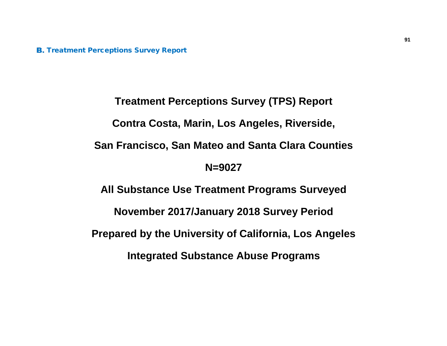**B.** Treatment Perceptions Survey Report

**Treatment Perceptions Survey (TPS) Report Contra Costa, Marin, Los Angeles, Riverside, San Francisco, San Mateo and Santa Clara Counties N=9027 All Substance Use Treatment Programs Surveyed November 2017/January 2018 Survey Period Prepared by the University of California, Los Angeles Integrated Substance Abuse Programs**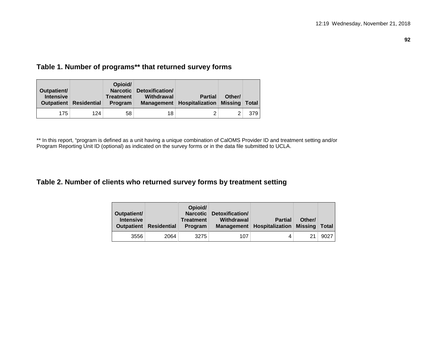#### **92**

# **Table 1. Number of programs\*\* that returned survey forms**

| Outpatient/<br><b>Intensive</b> | <b>Outpatient</b> Residential | Opioid/<br><b>Treatment</b><br>Program | Narcotic Detoxification/<br>Withdrawal<br><b>Management</b> | <b>Partial</b><br><b>Hospitalization Missing</b> | Other/ | <b>Total</b> |
|---------------------------------|-------------------------------|----------------------------------------|-------------------------------------------------------------|--------------------------------------------------|--------|--------------|
| 175                             | 124                           | 58                                     | 18                                                          |                                                  |        | 379          |

\*\* In this report, "program is defined as a unit having a unique combination of CalOMS Provider ID and treatment setting and/or Program Reporting Unit ID (optional) as indicated on the survey forms or in the data file submitted to UCLA.

## **Table 2. Number of clients who returned survey forms by treatment setting**

| Outpatient/<br><b>Intensive</b><br><b>Outpatient</b> | <b>Residential</b> | Opioid/<br>Narcotic<br><b>Treatment</b><br>Program | Detoxification/<br>Withdrawal<br><b>Management</b> | <b>Partial</b><br>$\mid$ Hospitalization $\mid$ | Other/<br>Missing   Total |      |
|------------------------------------------------------|--------------------|----------------------------------------------------|----------------------------------------------------|-------------------------------------------------|---------------------------|------|
| 3556                                                 | 2064               | 3275                                               | 107                                                | 4                                               | 21                        | 9027 |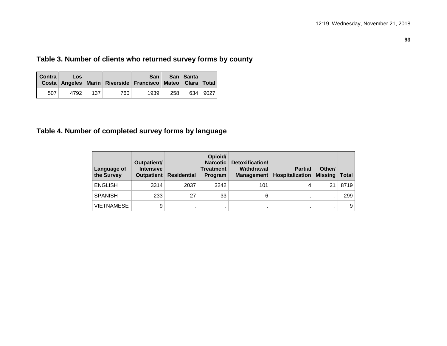# **Table 3. Number of clients who returned survey forms by county**

| <b>Contra</b> | Los  |     |     | San ∣<br>Costa Angeles Marin Riverside Francisco Mateo Clara Total |            | <b>San</b> Santa |          |
|---------------|------|-----|-----|--------------------------------------------------------------------|------------|------------------|----------|
| 507           | 4792 | 137 | 760 | 1939                                                               | $258 \mid$ |                  | 634 9027 |

# **Table 4. Number of completed survey forms by language**

| Language of<br>the Survey | Outpatient/<br><b>Intensive</b><br><b>Outpatient</b> | <b>Residential</b> | Opioid/<br><b>Narcotic</b><br><b>Treatment</b><br>Program | Detoxification/<br>Withdrawal<br><b>Management</b> | <b>Partial</b><br>Hospitalization | Other/<br><b>Missing</b> | <b>Total</b> |
|---------------------------|------------------------------------------------------|--------------------|-----------------------------------------------------------|----------------------------------------------------|-----------------------------------|--------------------------|--------------|
| <b>ENGLISH</b>            | 3314                                                 | 2037               | 3242                                                      | 101                                                | 4                                 | 21                       | 8719         |
| <b>SPANISH</b>            | 233                                                  | 27                 | 33                                                        | 6                                                  |                                   |                          | 299          |
| <b>VIETNAMESE</b>         | 9                                                    |                    |                                                           |                                                    |                                   |                          | 9            |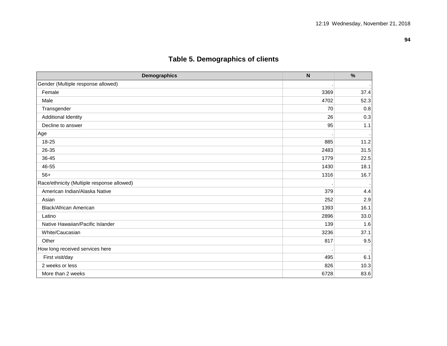| <b>Demographics</b>                        | $\boldsymbol{\mathsf{N}}$ | $\%$ |
|--------------------------------------------|---------------------------|------|
| Gender (Multiple response allowed)         |                           |      |
| Female                                     | 3369                      | 37.4 |
| Male                                       | 4702                      | 52.3 |
| Transgender                                | 70                        | 0.8  |
| <b>Additional Identity</b>                 | 26                        | 0.3  |
| Decline to answer                          | 95                        | 1.1  |
| Age                                        |                           |      |
| 18-25                                      | 885                       | 11.2 |
| 26-35                                      | 2483                      | 31.5 |
| 36-45                                      | 1779                      | 22.5 |
| 46-55                                      | 1430                      | 18.1 |
| $56+$                                      | 1316                      | 16.7 |
| Race/ethnicity (Multiple response allowed) |                           |      |
| American Indian/Alaska Native              | 379                       | 4.4  |
| Asian                                      | 252                       | 2.9  |
| <b>Black/African American</b>              | 1393                      | 16.1 |
| Latino                                     | 2896                      | 33.0 |
| Native Hawaiian/Pacific Islander           | 139                       | 1.6  |
| White/Caucasian                            | 3236                      | 37.1 |
| Other                                      | 817                       | 9.5  |
| How long received services here            |                           |      |
| First visit/day                            | 495                       | 6.1  |
| 2 weeks or less                            | 826                       | 10.3 |
| More than 2 weeks                          | 6728                      | 83.6 |

# **Table 5. Demographics of clients**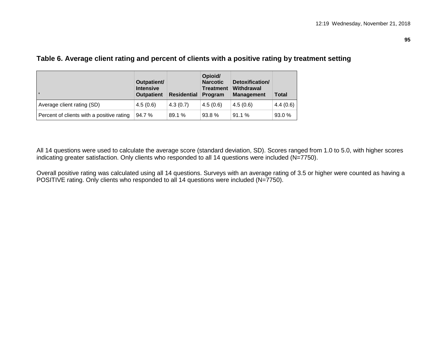|                                           | Outpatient/<br><b>Intensive</b><br><b>Outpatient</b> | Residential | Opioid/<br><b>Narcotic</b><br><b>Treatment</b><br>Program | Detoxification/<br>Withdrawal<br><b>Management</b> | <b>Total</b> |
|-------------------------------------------|------------------------------------------------------|-------------|-----------------------------------------------------------|----------------------------------------------------|--------------|
| Average client rating (SD)                | 4.5(0.6)                                             | 4.3(0.7)    | 4.5(0.6)                                                  | 4.5(0.6)                                           | 4.4(0.6)     |
| Percent of clients with a positive rating | 94.7%                                                | 89.1 %      | 93.8%                                                     | 91.1%                                              | 93.0 %       |

# **Table 6. Average client rating and percent of clients with a positive rating by treatment setting**

All 14 questions were used to calculate the average score (standard deviation, SD). Scores ranged from 1.0 to 5.0, with higher scores indicating greater satisfaction. Only clients who responded to all 14 questions were included (N=7750).

Overall positive rating was calculated using all 14 questions. Surveys with an average rating of 3.5 or higher were counted as having a POSITIVE rating. Only clients who responded to all 14 questions were included (N=7750).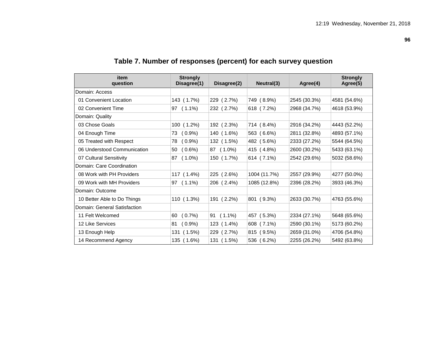**96**

| item<br>question             | <b>Strongly</b><br>Disagree(1) | Disagree(2) | Neutral(3)   | Agree(4)     | <b>Strongly</b><br>Agree(5) |
|------------------------------|--------------------------------|-------------|--------------|--------------|-----------------------------|
| Domain: Access               |                                |             |              |              |                             |
| 01 Convenient Location       | 143 (1.7%)                     | 229 (2.7%)  | 749 (8.9%)   | 2545 (30.3%) | 4581 (54.6%)                |
| 02 Convenient Time           | 97 (1.1%)                      | 232 (2.7%)  | 618 (7.2%)   | 2968 (34.7%) | 4618 (53.9%)                |
| Domain: Quality              |                                |             |              |              |                             |
| 03 Chose Goals               | 100 (1.2%)                     | 192 (2.3%)  | 714 (8.4%)   | 2916 (34.2%) | 4443 (52.2%)                |
| 04 Enough Time               | $(0.9\%)$<br>73                | 140 (1.6%)  | 563 (6.6%)   | 2811 (32.8%) | 4893 (57.1%)                |
| 05 Treated with Respect      | (0.9%<br>78                    | 132 (1.5%)  | 482 (5.6%)   | 2333 (27.2%) | 5544 (64.5%)                |
| 06 Understood Communication  | $(0.6\%)$<br>50                | 87 (1.0%)   | 415 (4.8%)   | 2600 (30.2%) | 5433 (63.1%)                |
| 07 Cultural Sensitivity      | $(1.0\%)$<br>87                | 150 (1.7%)  | 614 (7.1%)   | 2542 (29.6%) | 5032 (58.6%)                |
| Domain: Care Coordination    |                                |             |              |              |                             |
| 08 Work with PH Providers    | 117 (1.4%)                     | 225 (2.6%)  | 1004 (11.7%) | 2557 (29.9%) | 4277 (50.0%)                |
| 09 Work with MH Providers    | 97 (1.1%)                      | 206 (2.4%)  | 1085 (12.8%) | 2396 (28.2%) | 3933 (46.3%)                |
| Domain: Outcome              |                                |             |              |              |                             |
| 10 Better Able to Do Things  | 110 (1.3%)                     | 191 (2.2%)  | 801 (9.3%)   | 2633 (30.7%) | 4763 (55.6%)                |
| Domain: General Satisfaction |                                |             |              |              |                             |
| 11 Felt Welcomed             | $(0.7\%)$<br>60                | $91(1.1\%)$ | 457 (5.3%)   | 2334 (27.1%) | 5648 (65.6%)                |
| 12 Like Services             | $(0.9\%)$<br>81                | 123 (1.4%)  | 608 (7.1%)   | 2590 (30.1%) | 5173 (60.2%)                |
| 13 Enough Help               | 131 (1.5%)                     | 229 (2.7%)  | 815 (9.5%)   | 2659 (31.0%) | 4706 (54.8%)                |
| 14 Recommend Agency          | 135 (1.6%)                     | 131 (1.5%)  | 536 (6.2%)   | 2255 (26.2%) | 5492 (63.8%)                |

# **Table 7. Number of responses (percent) for each survey question**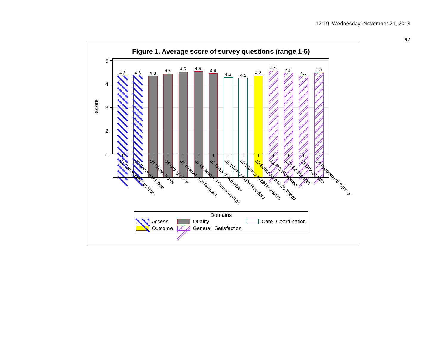

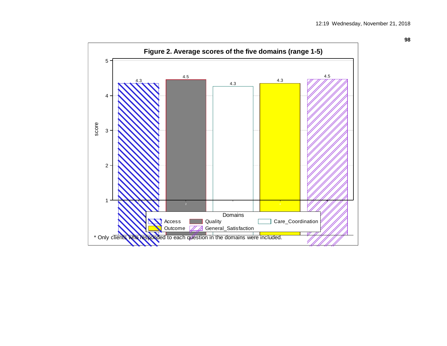